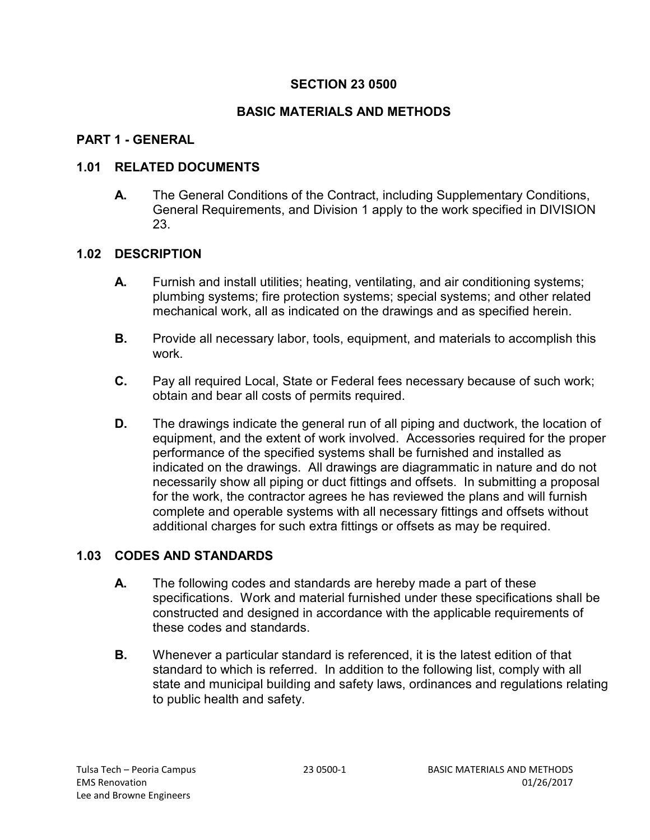#### **BASIC MATERIALS AND METHODS**

#### **PART 1 - GENERAL**

#### **1.01 RELATED DOCUMENTS**

**A.** The General Conditions of the Contract, including Supplementary Conditions, General Requirements, and Division 1 apply to the work specified in DIVISION 23.

#### **1.02 DESCRIPTION**

- **A.** Furnish and install utilities; heating, ventilating, and air conditioning systems; plumbing systems; fire protection systems; special systems; and other related mechanical work, all as indicated on the drawings and as specified herein.
- **B.** Provide all necessary labor, tools, equipment, and materials to accomplish this work.
- **C.** Pay all required Local, State or Federal fees necessary because of such work; obtain and bear all costs of permits required.
- **D.** The drawings indicate the general run of all piping and ductwork, the location of equipment, and the extent of work involved. Accessories required for the proper performance of the specified systems shall be furnished and installed as indicated on the drawings. All drawings are diagrammatic in nature and do not necessarily show all piping or duct fittings and offsets. In submitting a proposal for the work, the contractor agrees he has reviewed the plans and will furnish complete and operable systems with all necessary fittings and offsets without additional charges for such extra fittings or offsets as may be required.

### **1.03 CODES AND STANDARDS**

- **A.** The following codes and standards are hereby made a part of these specifications. Work and material furnished under these specifications shall be constructed and designed in accordance with the applicable requirements of these codes and standards.
- **B.** Whenever a particular standard is referenced, it is the latest edition of that standard to which is referred. In addition to the following list, comply with all state and municipal building and safety laws, ordinances and regulations relating to public health and safety.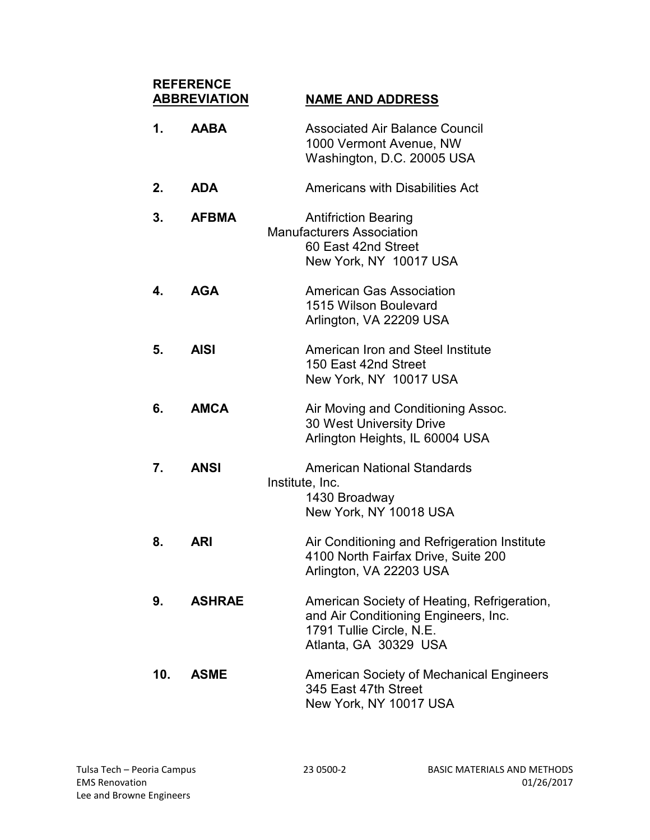# **REFERENCE NAME AND ADDRESS**

| 1.  | <b>AABA</b>   | <b>Associated Air Balance Council</b><br>1000 Vermont Avenue, NW<br>Washington, D.C. 20005 USA                                           |
|-----|---------------|------------------------------------------------------------------------------------------------------------------------------------------|
| 2.  | <b>ADA</b>    | Americans with Disabilities Act                                                                                                          |
| 3.  | <b>AFBMA</b>  | <b>Antifriction Bearing</b><br><b>Manufacturers Association</b><br>60 East 42nd Street<br>New York, NY 10017 USA                         |
| 4.  | <b>AGA</b>    | American Gas Association<br>1515 Wilson Boulevard<br>Arlington, VA 22209 USA                                                             |
| 5.  | <b>AISI</b>   | American Iron and Steel Institute<br>150 East 42nd Street<br>New York, NY 10017 USA                                                      |
| 6.  | <b>AMCA</b>   | Air Moving and Conditioning Assoc.<br><b>30 West University Drive</b><br>Arlington Heights, IL 60004 USA                                 |
| 7.  | <b>ANSI</b>   | <b>American National Standards</b><br>Institute, Inc.<br>1430 Broadway<br>New York, NY 10018 USA                                         |
| 8.  | <b>ARI</b>    | Air Conditioning and Refrigeration Institute<br>4100 North Fairfax Drive, Suite 200<br>Arlington, VA 22203 USA                           |
| 9.  | <b>ASHRAE</b> | American Society of Heating, Refrigeration,<br>and Air Conditioning Engineers, Inc.<br>1791 Tullie Circle, N.E.<br>Atlanta, GA 30329 USA |
| 10. | <b>ASME</b>   | <b>American Society of Mechanical Engineers</b><br>345 East 47th Street<br>New York, NY 10017 USA                                        |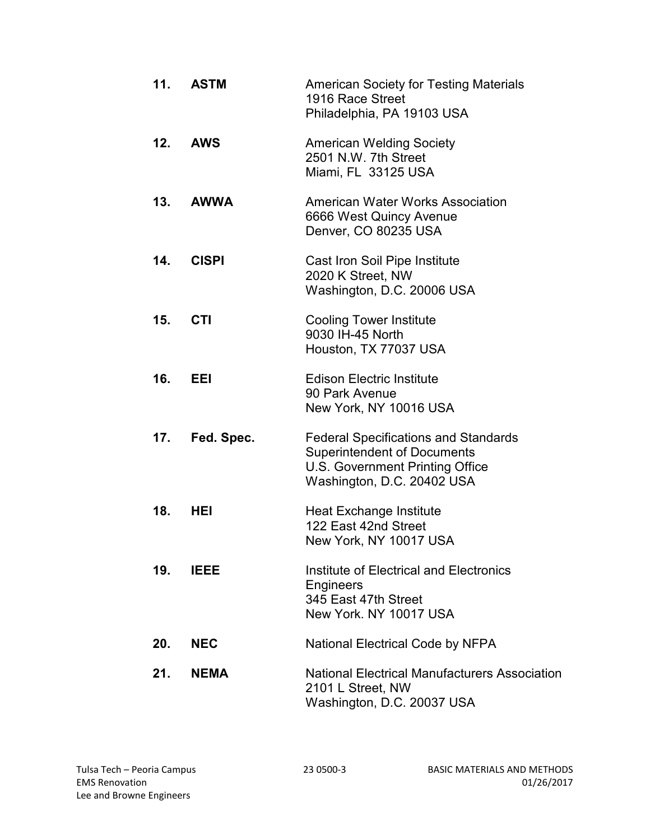| 11. | <b>ASTM</b>  | <b>American Society for Testing Materials</b><br>1916 Race Street<br>Philadelphia, PA 19103 USA                                                    |
|-----|--------------|----------------------------------------------------------------------------------------------------------------------------------------------------|
| 12. | <b>AWS</b>   | <b>American Welding Society</b><br>2501 N.W. 7th Street<br>Miami, FL 33125 USA                                                                     |
|     | 13. AWWA     | <b>American Water Works Association</b><br>6666 West Quincy Avenue<br>Denver, CO 80235 USA                                                         |
| 14. | <b>CISPI</b> | Cast Iron Soil Pipe Institute<br>2020 K Street, NW<br>Washington, D.C. 20006 USA                                                                   |
| 15. | <b>CTI</b>   | <b>Cooling Tower Institute</b><br>9030 IH-45 North<br>Houston, TX 77037 USA                                                                        |
| 16. | EEI          | <b>Edison Electric Institute</b><br>90 Park Avenue<br>New York, NY 10016 USA                                                                       |
| 17. | Fed. Spec.   | <b>Federal Specifications and Standards</b><br><b>Superintendent of Documents</b><br>U.S. Government Printing Office<br>Washington, D.C. 20402 USA |
| 18. | HEL          | Heat Exchange Institute<br>122 East 42nd Street<br>New York, NY 10017 USA                                                                          |
| 19. | IEEE         | Institute of Electrical and Electronics<br>Engineers<br>345 East 47th Street<br>New York, NY 10017 USA                                             |
| 20. | <b>NEC</b>   | <b>National Electrical Code by NFPA</b>                                                                                                            |
| 21. | <b>NEMA</b>  | <b>National Electrical Manufacturers Association</b><br>2101 L Street, NW<br>Washington, D.C. 20037 USA                                            |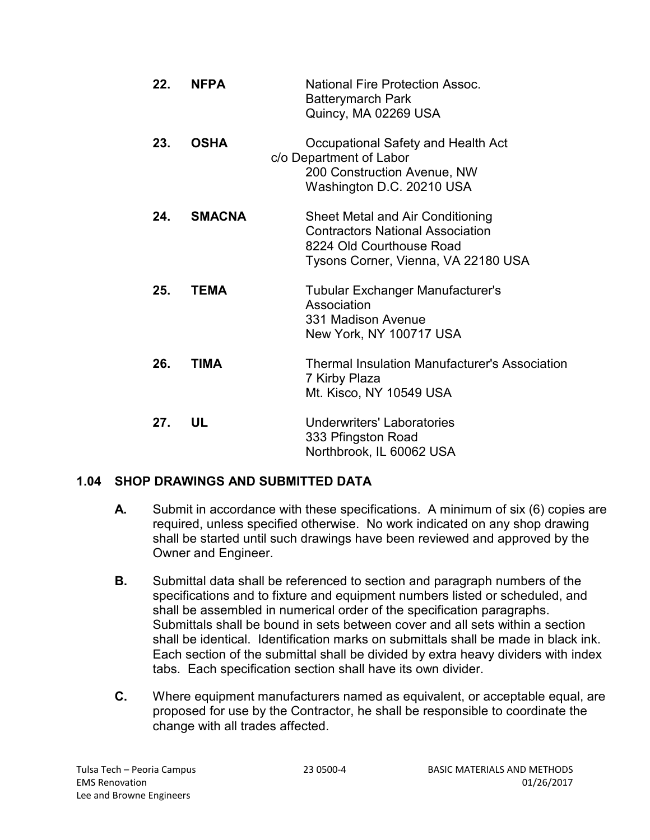| 22. | <b>NFPA</b>   | <b>National Fire Protection Assoc.</b><br><b>Batterymarch Park</b><br>Quincy, MA 02269 USA                                                     |
|-----|---------------|------------------------------------------------------------------------------------------------------------------------------------------------|
| 23. | <b>OSHA</b>   | Occupational Safety and Health Act<br>c/o Department of Labor<br>200 Construction Avenue, NW<br>Washington D.C. 20210 USA                      |
| 24. | <b>SMACNA</b> | Sheet Metal and Air Conditioning<br><b>Contractors National Association</b><br>8224 Old Courthouse Road<br>Tysons Corner, Vienna, VA 22180 USA |
| 25. | <b>TEMA</b>   | <b>Tubular Exchanger Manufacturer's</b><br>Association<br>331 Madison Avenue<br>New York, NY 100717 USA                                        |
| 26. | <b>TIMA</b>   | <b>Thermal Insulation Manufacturer's Association</b><br>7 Kirby Plaza<br>Mt. Kisco, NY 10549 USA                                               |
| 27. | UL            | <b>Underwriters' Laboratories</b><br>333 Pfingston Road<br>Northbrook, IL 60062 USA                                                            |

### **1.04 SHOP DRAWINGS AND SUBMITTED DATA**

- **A.** Submit in accordance with these specifications. A minimum of six (6) copies are required, unless specified otherwise. No work indicated on any shop drawing shall be started until such drawings have been reviewed and approved by the Owner and Engineer.
- **B.** Submittal data shall be referenced to section and paragraph numbers of the specifications and to fixture and equipment numbers listed or scheduled, and shall be assembled in numerical order of the specification paragraphs. Submittals shall be bound in sets between cover and all sets within a section shall be identical. Identification marks on submittals shall be made in black ink. Each section of the submittal shall be divided by extra heavy dividers with index tabs. Each specification section shall have its own divider.
- **C.** Where equipment manufacturers named as equivalent, or acceptable equal, are proposed for use by the Contractor, he shall be responsible to coordinate the change with all trades affected.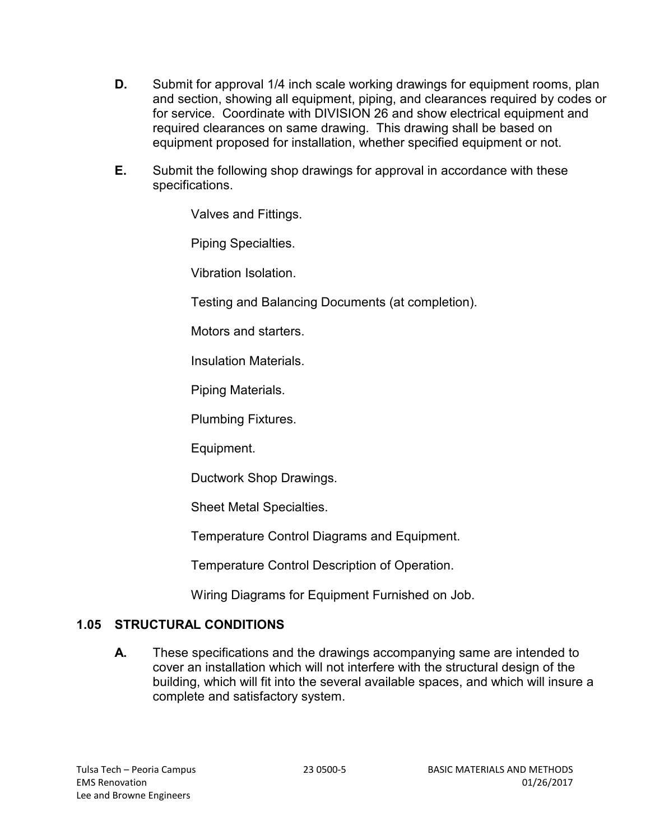- **D.** Submit for approval 1/4 inch scale working drawings for equipment rooms, plan and section, showing all equipment, piping, and clearances required by codes or for service. Coordinate with DIVISION 26 and show electrical equipment and required clearances on same drawing. This drawing shall be based on equipment proposed for installation, whether specified equipment or not.
- **E.** Submit the following shop drawings for approval in accordance with these specifications.

Valves and Fittings.

Piping Specialties.

Vibration Isolation.

Testing and Balancing Documents (at completion).

Motors and starters.

Insulation Materials.

Piping Materials.

Plumbing Fixtures.

Equipment.

Ductwork Shop Drawings.

Sheet Metal Specialties.

Temperature Control Diagrams and Equipment.

Temperature Control Description of Operation.

Wiring Diagrams for Equipment Furnished on Job.

### **1.05 STRUCTURAL CONDITIONS**

**A.** These specifications and the drawings accompanying same are intended to cover an installation which will not interfere with the structural design of the building, which will fit into the several available spaces, and which will insure a complete and satisfactory system.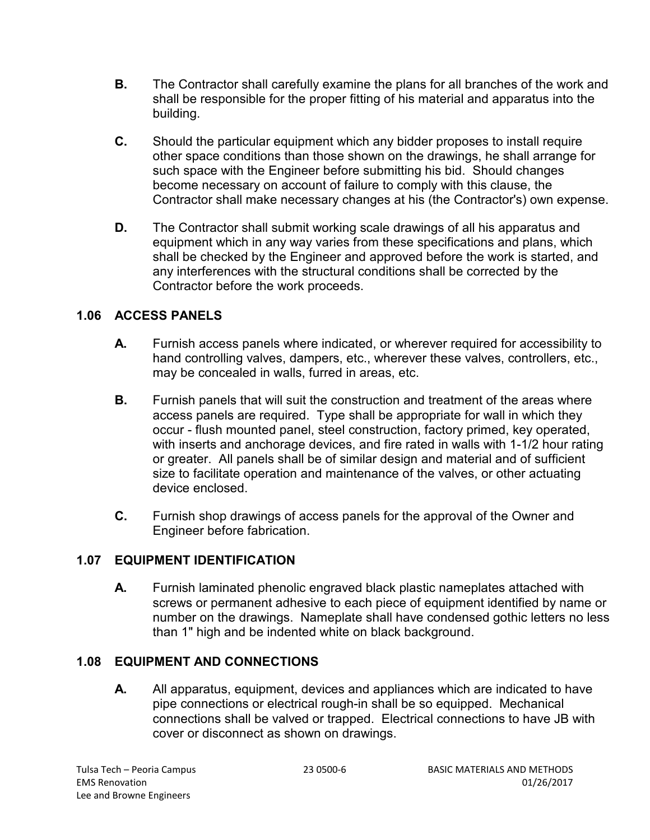- **B.** The Contractor shall carefully examine the plans for all branches of the work and shall be responsible for the proper fitting of his material and apparatus into the building.
- **C.** Should the particular equipment which any bidder proposes to install require other space conditions than those shown on the drawings, he shall arrange for such space with the Engineer before submitting his bid. Should changes become necessary on account of failure to comply with this clause, the Contractor shall make necessary changes at his (the Contractor's) own expense.
- **D.** The Contractor shall submit working scale drawings of all his apparatus and equipment which in any way varies from these specifications and plans, which shall be checked by the Engineer and approved before the work is started, and any interferences with the structural conditions shall be corrected by the Contractor before the work proceeds.

# **1.06 ACCESS PANELS**

- **A.** Furnish access panels where indicated, or wherever required for accessibility to hand controlling valves, dampers, etc., wherever these valves, controllers, etc., may be concealed in walls, furred in areas, etc.
- **B.** Furnish panels that will suit the construction and treatment of the areas where access panels are required. Type shall be appropriate for wall in which they occur - flush mounted panel, steel construction, factory primed, key operated, with inserts and anchorage devices, and fire rated in walls with 1-1/2 hour rating or greater. All panels shall be of similar design and material and of sufficient size to facilitate operation and maintenance of the valves, or other actuating device enclosed.
- **C.** Furnish shop drawings of access panels for the approval of the Owner and Engineer before fabrication.

### **1.07 EQUIPMENT IDENTIFICATION**

**A.** Furnish laminated phenolic engraved black plastic nameplates attached with screws or permanent adhesive to each piece of equipment identified by name or number on the drawings. Nameplate shall have condensed gothic letters no less than 1" high and be indented white on black background.

# **1.08 EQUIPMENT AND CONNECTIONS**

**A.** All apparatus, equipment, devices and appliances which are indicated to have pipe connections or electrical rough-in shall be so equipped. Mechanical connections shall be valved or trapped. Electrical connections to have JB with cover or disconnect as shown on drawings.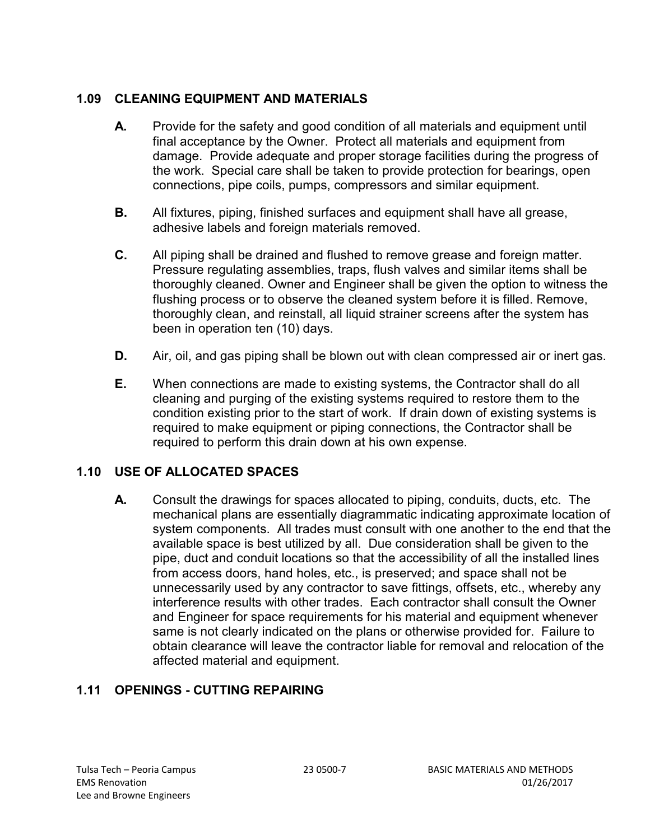# **1.09 CLEANING EQUIPMENT AND MATERIALS**

- **A.** Provide for the safety and good condition of all materials and equipment until final acceptance by the Owner. Protect all materials and equipment from damage. Provide adequate and proper storage facilities during the progress of the work. Special care shall be taken to provide protection for bearings, open connections, pipe coils, pumps, compressors and similar equipment.
- **B.** All fixtures, piping, finished surfaces and equipment shall have all grease, adhesive labels and foreign materials removed.
- **C.** All piping shall be drained and flushed to remove grease and foreign matter. Pressure regulating assemblies, traps, flush valves and similar items shall be thoroughly cleaned. Owner and Engineer shall be given the option to witness the flushing process or to observe the cleaned system before it is filled. Remove, thoroughly clean, and reinstall, all liquid strainer screens after the system has been in operation ten (10) days.
- **D.** Air, oil, and gas piping shall be blown out with clean compressed air or inert gas.
- **E.** When connections are made to existing systems, the Contractor shall do all cleaning and purging of the existing systems required to restore them to the condition existing prior to the start of work. If drain down of existing systems is required to make equipment or piping connections, the Contractor shall be required to perform this drain down at his own expense.

# **1.10 USE OF ALLOCATED SPACES**

**A.** Consult the drawings for spaces allocated to piping, conduits, ducts, etc. The mechanical plans are essentially diagrammatic indicating approximate location of system components. All trades must consult with one another to the end that the available space is best utilized by all. Due consideration shall be given to the pipe, duct and conduit locations so that the accessibility of all the installed lines from access doors, hand holes, etc., is preserved; and space shall not be unnecessarily used by any contractor to save fittings, offsets, etc., whereby any interference results with other trades. Each contractor shall consult the Owner and Engineer for space requirements for his material and equipment whenever same is not clearly indicated on the plans or otherwise provided for. Failure to obtain clearance will leave the contractor liable for removal and relocation of the affected material and equipment.

# **1.11 OPENINGS - CUTTING REPAIRING**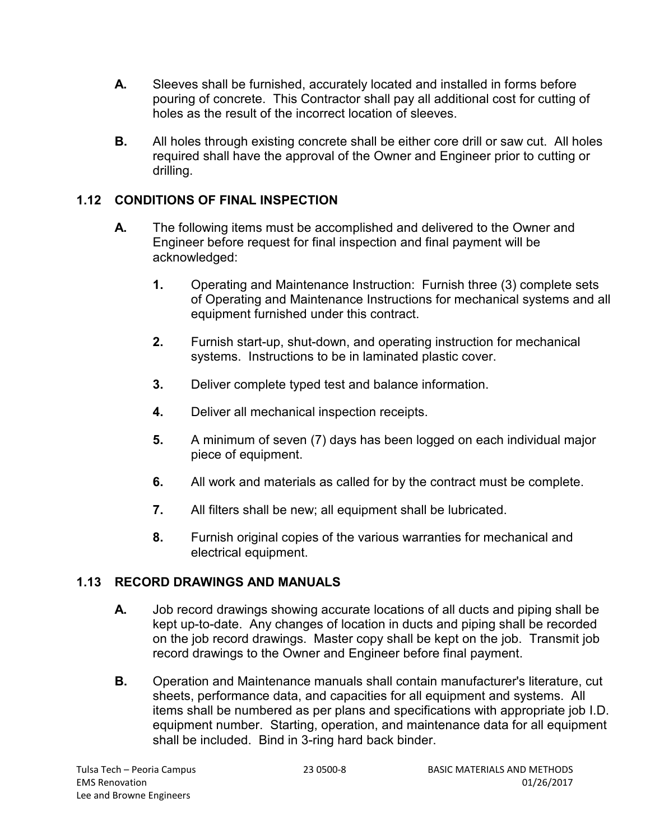- **A.** Sleeves shall be furnished, accurately located and installed in forms before pouring of concrete. This Contractor shall pay all additional cost for cutting of holes as the result of the incorrect location of sleeves.
- **B.** All holes through existing concrete shall be either core drill or saw cut. All holes required shall have the approval of the Owner and Engineer prior to cutting or drilling.

# **1.12 CONDITIONS OF FINAL INSPECTION**

- **A.** The following items must be accomplished and delivered to the Owner and Engineer before request for final inspection and final payment will be acknowledged:
	- **1.** Operating and Maintenance Instruction: Furnish three (3) complete sets of Operating and Maintenance Instructions for mechanical systems and all equipment furnished under this contract.
	- **2.** Furnish start-up, shut-down, and operating instruction for mechanical systems. Instructions to be in laminated plastic cover.
	- **3.** Deliver complete typed test and balance information.
	- **4.** Deliver all mechanical inspection receipts.
	- **5.** A minimum of seven (7) days has been logged on each individual major piece of equipment.
	- **6.** All work and materials as called for by the contract must be complete.
	- **7.** All filters shall be new; all equipment shall be lubricated.
	- **8.** Furnish original copies of the various warranties for mechanical and electrical equipment.

# **1.13 RECORD DRAWINGS AND MANUALS**

- **A.** Job record drawings showing accurate locations of all ducts and piping shall be kept up-to-date. Any changes of location in ducts and piping shall be recorded on the job record drawings. Master copy shall be kept on the job. Transmit job record drawings to the Owner and Engineer before final payment.
- **B.** Operation and Maintenance manuals shall contain manufacturer's literature, cut sheets, performance data, and capacities for all equipment and systems. All items shall be numbered as per plans and specifications with appropriate job I.D. equipment number. Starting, operation, and maintenance data for all equipment shall be included. Bind in 3-ring hard back binder.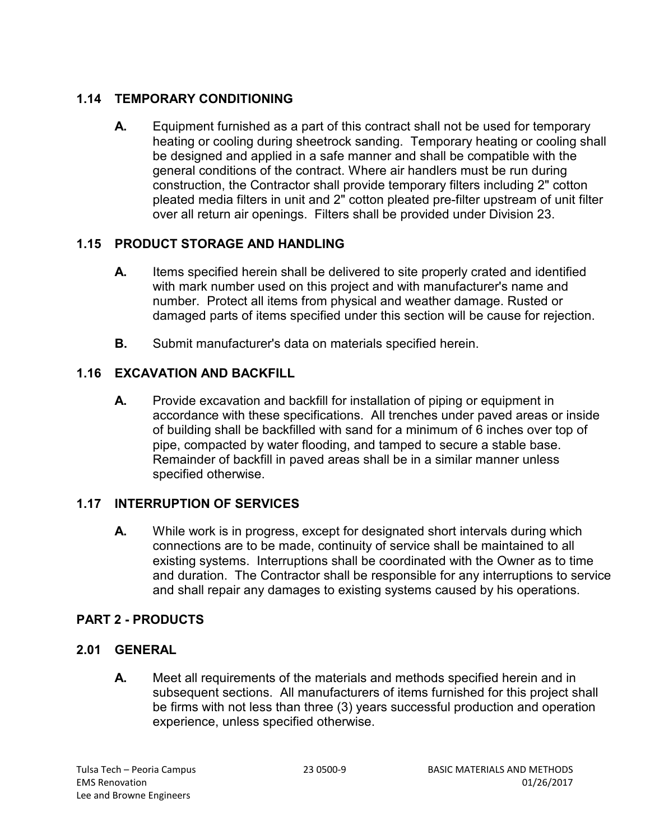# **1.14 TEMPORARY CONDITIONING**

**A.** Equipment furnished as a part of this contract shall not be used for temporary heating or cooling during sheetrock sanding. Temporary heating or cooling shall be designed and applied in a safe manner and shall be compatible with the general conditions of the contract. Where air handlers must be run during construction, the Contractor shall provide temporary filters including 2" cotton pleated media filters in unit and 2" cotton pleated pre-filter upstream of unit filter over all return air openings. Filters shall be provided under Division 23.

# **1.15 PRODUCT STORAGE AND HANDLING**

- **A.** Items specified herein shall be delivered to site properly crated and identified with mark number used on this project and with manufacturer's name and number. Protect all items from physical and weather damage. Rusted or damaged parts of items specified under this section will be cause for rejection.
- **B.** Submit manufacturer's data on materials specified herein.

# **1.16 EXCAVATION AND BACKFILL**

**A.** Provide excavation and backfill for installation of piping or equipment in accordance with these specifications. All trenches under paved areas or inside of building shall be backfilled with sand for a minimum of 6 inches over top of pipe, compacted by water flooding, and tamped to secure a stable base. Remainder of backfill in paved areas shall be in a similar manner unless specified otherwise.

# **1.17 INTERRUPTION OF SERVICES**

**A.** While work is in progress, except for designated short intervals during which connections are to be made, continuity of service shall be maintained to all existing systems. Interruptions shall be coordinated with the Owner as to time and duration. The Contractor shall be responsible for any interruptions to service and shall repair any damages to existing systems caused by his operations.

# **PART 2 - PRODUCTS**

# **2.01 GENERAL**

**A.** Meet all requirements of the materials and methods specified herein and in subsequent sections. All manufacturers of items furnished for this project shall be firms with not less than three (3) years successful production and operation experience, unless specified otherwise.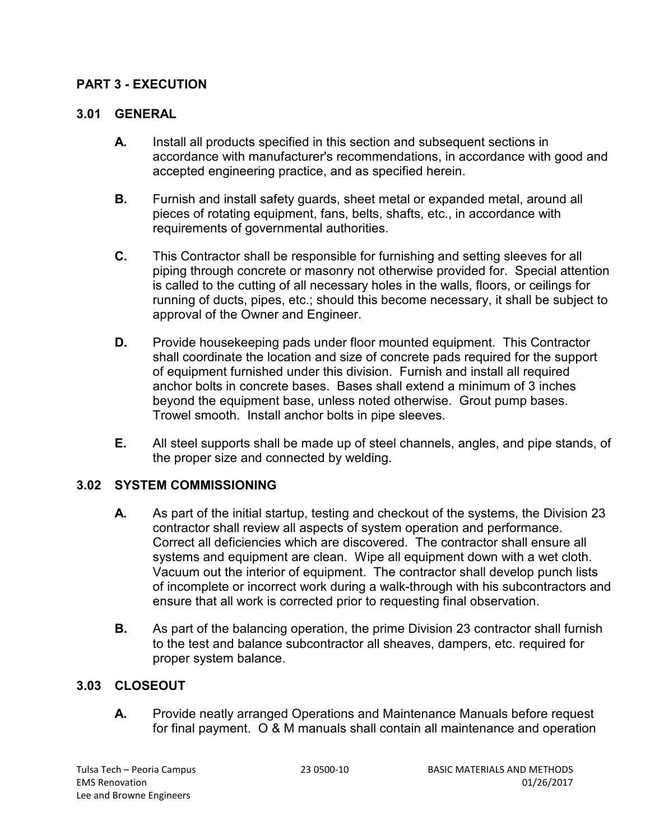## **PART 3 - EXECUTION**

#### **3.01 GENERAL**

- **A.** Install all products specified in this section and subsequent sections in accordance with manufacturer's recommendations, in accordance with good and accepted engineering practice, and as specified herein.
- **B.** Furnish and install safety guards, sheet metal or expanded metal, around all pieces of rotating equipment, fans, belts, shafts, etc., in accordance with requirements of governmental authorities.
- **C.** This Contractor shall be responsible for furnishing and setting sleeves for all piping through concrete or masonry not otherwise provided for. Special attention is called to the cutting of all necessary holes in the walls, floors, or ceilings for running of ducts, pipes, etc.; should this become necessary, it shall be subject to approval of the Owner and Engineer.
- **D.** Provide housekeeping pads under floor mounted equipment. This Contractor shall coordinate the location and size of concrete pads required for the support of equipment furnished under this division. Furnish and install all required anchor bolts in concrete bases. Bases shall extend a minimum of 3 inches beyond the equipment base, unless noted otherwise. Grout pump bases. Trowel smooth. Install anchor bolts in pipe sleeves.
- **E.** All steel supports shall be made up of steel channels, angles, and pipe stands, of the proper size and connected by welding.

### **3.02 SYSTEM COMMISSIONING**

- **A.** As part of the initial startup, testing and checkout of the systems, the Division 23 contractor shall review all aspects of system operation and performance. Correct all deficiencies which are discovered. The contractor shall ensure all systems and equipment are clean. Wipe all equipment down with a wet cloth. Vacuum out the interior of equipment. The contractor shall develop punch lists of incomplete or incorrect work during a walk-through with his subcontractors and ensure that all work is corrected prior to requesting final observation.
- **B.** As part of the balancing operation, the prime Division 23 contractor shall furnish to the test and balance subcontractor all sheaves, dampers, etc. required for proper system balance.

### **3.03 CLOSEOUT**

**A.** Provide neatly arranged Operations and Maintenance Manuals before request for final payment. O & M manuals shall contain all maintenance and operation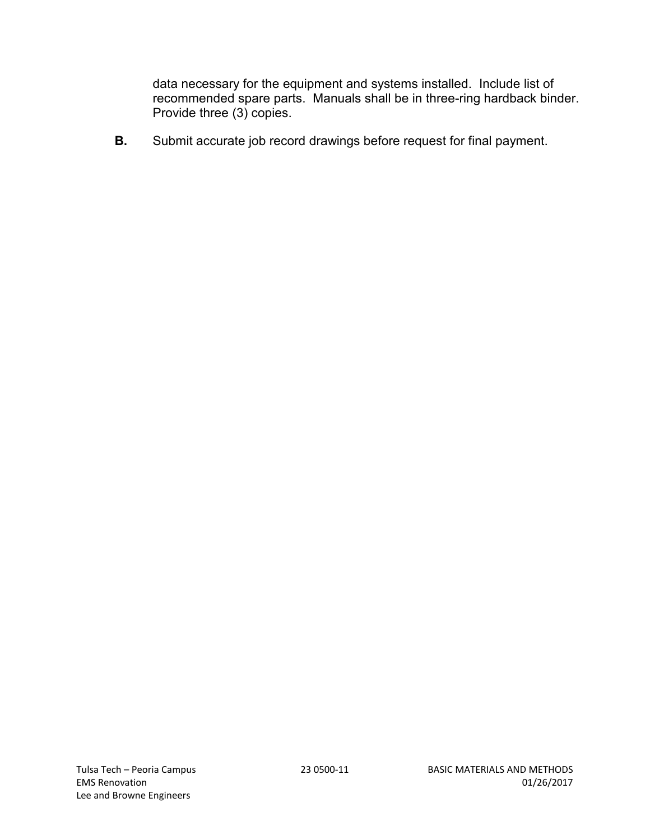data necessary for the equipment and systems installed. Include list of recommended spare parts. Manuals shall be in three-ring hardback binder. Provide three (3) copies.

**B.** Submit accurate job record drawings before request for final payment.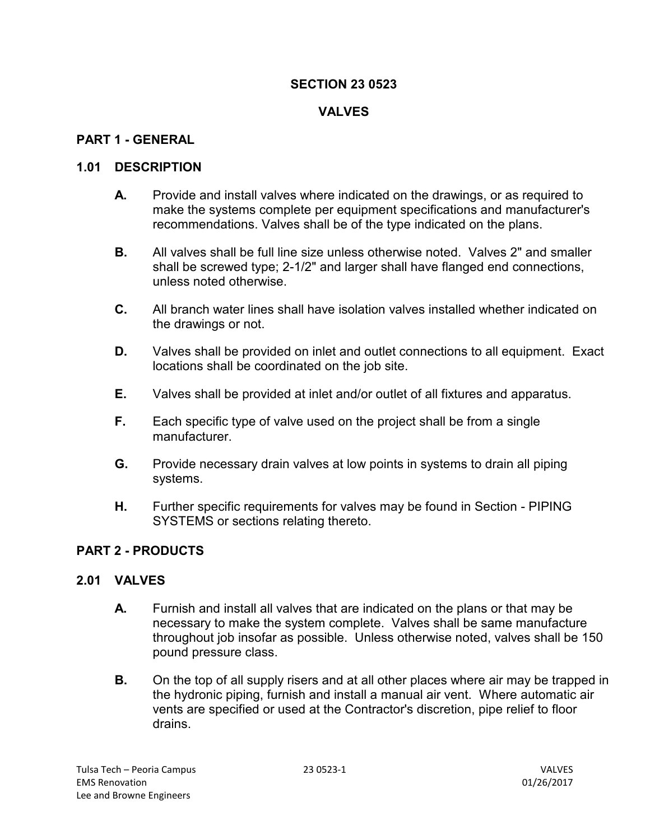### **VALVES**

#### **PART 1 - GENERAL**

#### **1.01 DESCRIPTION**

- **A.** Provide and install valves where indicated on the drawings, or as required to make the systems complete per equipment specifications and manufacturer's recommendations. Valves shall be of the type indicated on the plans.
- **B.** All valves shall be full line size unless otherwise noted. Valves 2" and smaller shall be screwed type; 2-1/2" and larger shall have flanged end connections, unless noted otherwise.
- **C.** All branch water lines shall have isolation valves installed whether indicated on the drawings or not.
- **D.** Valves shall be provided on inlet and outlet connections to all equipment. Exact locations shall be coordinated on the job site.
- **E.** Valves shall be provided at inlet and/or outlet of all fixtures and apparatus.
- **F.** Each specific type of valve used on the project shall be from a single manufacturer.
- **G.** Provide necessary drain valves at low points in systems to drain all piping systems.
- **H.** Further specific requirements for valves may be found in Section PIPING SYSTEMS or sections relating thereto.

#### **PART 2 - PRODUCTS**

#### **2.01 VALVES**

- **A.** Furnish and install all valves that are indicated on the plans or that may be necessary to make the system complete. Valves shall be same manufacture throughout job insofar as possible. Unless otherwise noted, valves shall be 150 pound pressure class.
- **B.** On the top of all supply risers and at all other places where air may be trapped in the hydronic piping, furnish and install a manual air vent. Where automatic air vents are specified or used at the Contractor's discretion, pipe relief to floor drains.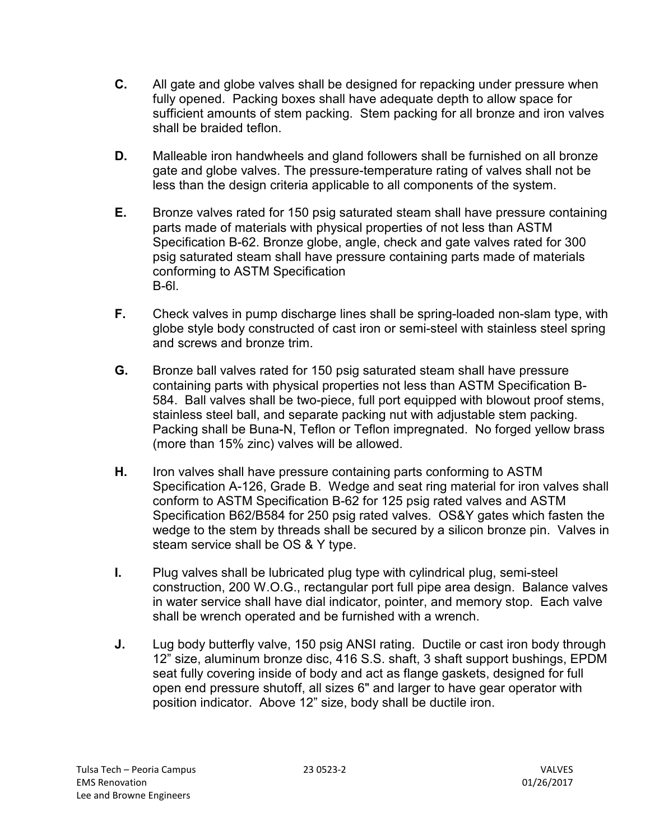- **C.** All gate and globe valves shall be designed for repacking under pressure when fully opened. Packing boxes shall have adequate depth to allow space for sufficient amounts of stem packing. Stem packing for all bronze and iron valves shall be braided teflon.
- **D.** Malleable iron handwheels and gland followers shall be furnished on all bronze gate and globe valves. The pressure-temperature rating of valves shall not be less than the design criteria applicable to all components of the system.
- **E.** Bronze valves rated for 150 psig saturated steam shall have pressure containing parts made of materials with physical properties of not less than ASTM Specification B-62. Bronze globe, angle, check and gate valves rated for 300 psig saturated steam shall have pressure containing parts made of materials conforming to ASTM Specification B-6l.
- **F.** Check valves in pump discharge lines shall be spring-loaded non-slam type, with globe style body constructed of cast iron or semi-steel with stainless steel spring and screws and bronze trim.
- **G.** Bronze ball valves rated for 150 psig saturated steam shall have pressure containing parts with physical properties not less than ASTM Specification B-584. Ball valves shall be two-piece, full port equipped with blowout proof stems, stainless steel ball, and separate packing nut with adjustable stem packing. Packing shall be Buna-N, Teflon or Teflon impregnated. No forged yellow brass (more than 15% zinc) valves will be allowed.
- **H.** Iron valves shall have pressure containing parts conforming to ASTM Specification A-126, Grade B. Wedge and seat ring material for iron valves shall conform to ASTM Specification B-62 for 125 psig rated valves and ASTM Specification B62/B584 for 250 psig rated valves. OS&Y gates which fasten the wedge to the stem by threads shall be secured by a silicon bronze pin. Valves in steam service shall be OS & Y type.
- **I.** Plug valves shall be lubricated plug type with cylindrical plug, semi-steel construction, 200 W.O.G., rectangular port full pipe area design. Balance valves in water service shall have dial indicator, pointer, and memory stop. Each valve shall be wrench operated and be furnished with a wrench.
- **J.** Lug body butterfly valve, 150 psig ANSI rating. Ductile or cast iron body through 12" size, aluminum bronze disc, 416 S.S. shaft, 3 shaft support bushings, EPDM seat fully covering inside of body and act as flange gaskets, designed for full open end pressure shutoff, all sizes 6" and larger to have gear operator with position indicator. Above 12" size, body shall be ductile iron.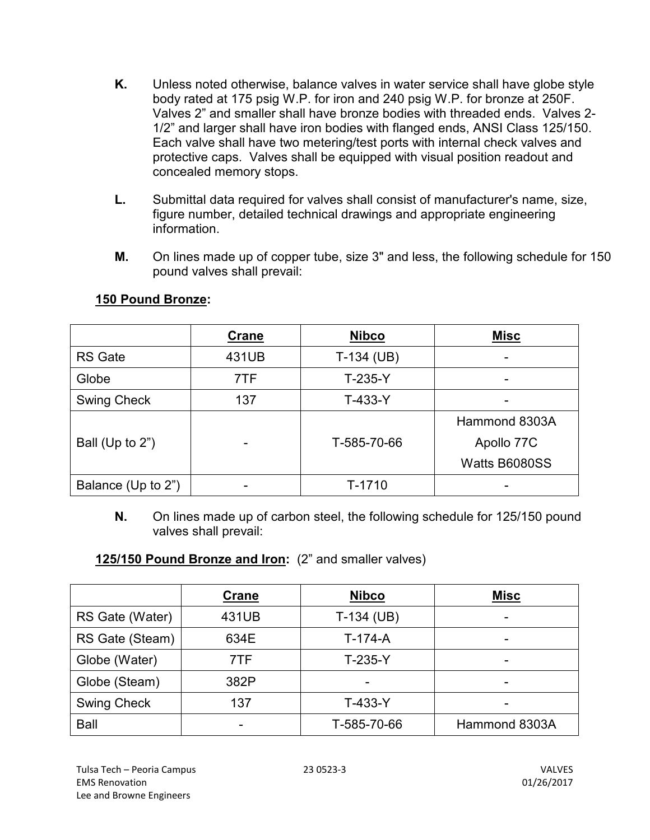- **K.** Unless noted otherwise, balance valves in water service shall have globe style body rated at 175 psig W.P. for iron and 240 psig W.P. for bronze at 250F. Valves 2" and smaller shall have bronze bodies with threaded ends. Valves 2- 1/2" and larger shall have iron bodies with flanged ends, ANSI Class 125/150. Each valve shall have two metering/test ports with internal check valves and protective caps. Valves shall be equipped with visual position readout and concealed memory stops.
- **L.** Submittal data required for valves shall consist of manufacturer's name, size, figure number, detailed technical drawings and appropriate engineering information.
- **M.** On lines made up of copper tube, size 3" and less, the following schedule for 150 pound valves shall prevail:

|                    | Crane | <b>Nibco</b> | <b>Misc</b>   |
|--------------------|-------|--------------|---------------|
| <b>RS</b> Gate     | 431UB | $T-134$ (UB) |               |
| Globe              | 7TF   | $T-235-Y$    |               |
| <b>Swing Check</b> | 137   | $T-433-Y$    |               |
|                    |       |              | Hammond 8303A |
| Ball (Up to 2")    |       | T-585-70-66  | Apollo 77C    |
|                    |       |              | Watts B6080SS |
| Balance (Up to 2") |       | T-1710       |               |

#### **150 Pound Bronze:**

**N.** On lines made up of carbon steel, the following schedule for 125/150 pound valves shall prevail:

### **125/150 Pound Bronze and Iron:** (2" and smaller valves)

|                    | Crane | <b>Nibco</b> | <b>Misc</b>   |
|--------------------|-------|--------------|---------------|
| RS Gate (Water)    | 431UB | $T-134$ (UB) | -             |
| RS Gate (Steam)    | 634E  | $T-174-A$    |               |
| Globe (Water)      | 7TF   | $T-235-Y$    |               |
| Globe (Steam)      | 382P  | -            |               |
| <b>Swing Check</b> | 137   | $T-433-Y$    |               |
| Ball               | -     | T-585-70-66  | Hammond 8303A |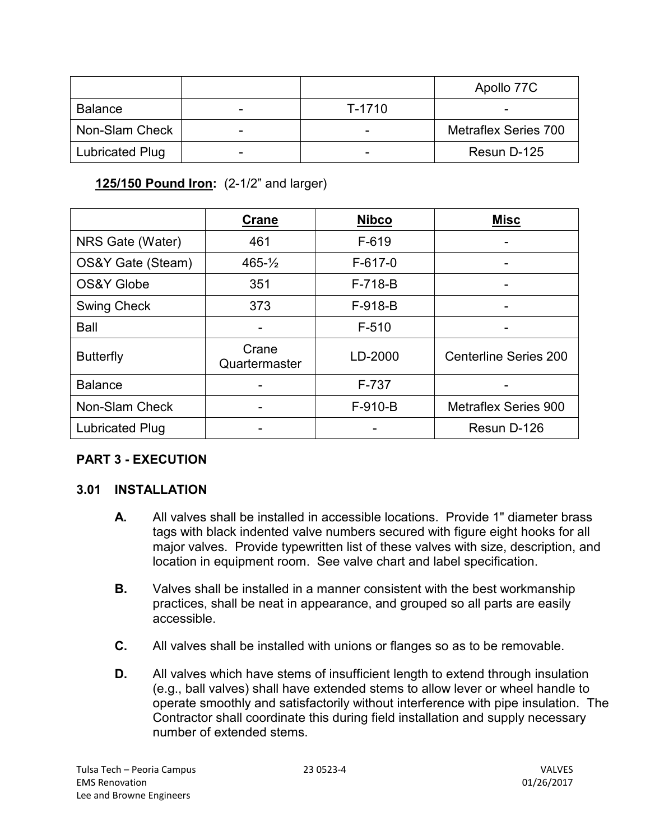|                        |   |        | Apollo 77C                  |
|------------------------|---|--------|-----------------------------|
| <b>Balance</b>         |   | T-1710 |                             |
| Non-Slam Check         | - |        | <b>Metraflex Series 700</b> |
| <b>Lubricated Plug</b> |   |        | Resun D-125                 |

**125/150 Pound Iron:** (2-1/2" and larger)

|                        | <b>Crane</b>           | <b>Nibco</b> | <b>Misc</b>                  |
|------------------------|------------------------|--------------|------------------------------|
| NRS Gate (Water)       | 461                    | $F-619$      |                              |
| OS&Y Gate (Steam)      | $465 - \frac{1}{2}$    | $F-617-0$    |                              |
| <b>OS&amp;Y Globe</b>  | 351                    | $F-718-B$    |                              |
| <b>Swing Check</b>     | 373                    | $F-918-B$    |                              |
| <b>Ball</b>            |                        | $F-510$      |                              |
| <b>Butterfly</b>       | Crane<br>Quartermaster | LD-2000      | <b>Centerline Series 200</b> |
| <b>Balance</b>         |                        | F-737        |                              |
| Non-Slam Check         |                        | $F-910-B$    | <b>Metraflex Series 900</b>  |
| <b>Lubricated Plug</b> |                        |              | Resun D-126                  |

# **PART 3 - EXECUTION**

# **3.01 INSTALLATION**

- **A.** All valves shall be installed in accessible locations. Provide 1" diameter brass tags with black indented valve numbers secured with figure eight hooks for all major valves. Provide typewritten list of these valves with size, description, and location in equipment room. See valve chart and label specification.
- **B.** Valves shall be installed in a manner consistent with the best workmanship practices, shall be neat in appearance, and grouped so all parts are easily accessible.
- **C.** All valves shall be installed with unions or flanges so as to be removable.
- **D.** All valves which have stems of insufficient length to extend through insulation (e.g., ball valves) shall have extended stems to allow lever or wheel handle to operate smoothly and satisfactorily without interference with pipe insulation. The Contractor shall coordinate this during field installation and supply necessary number of extended stems.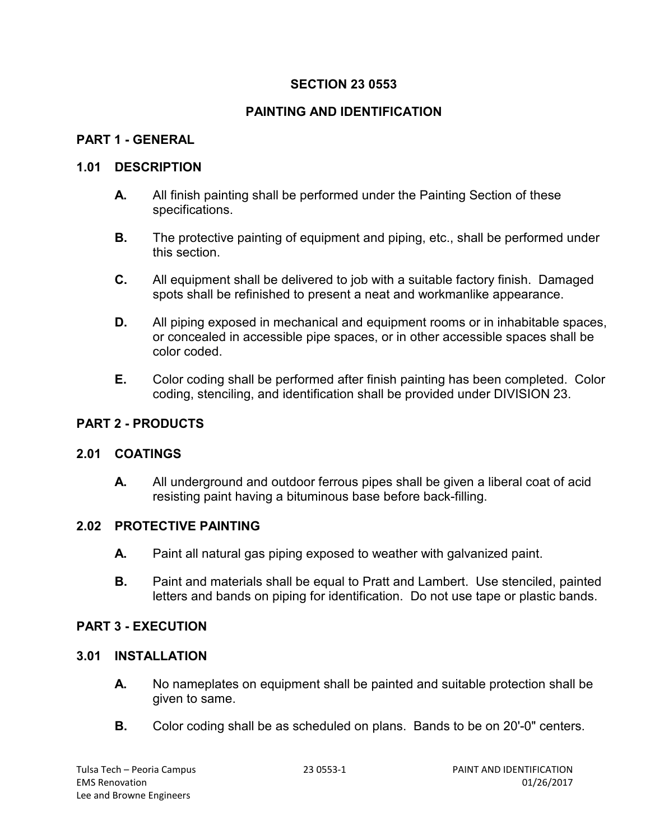# **PAINTING AND IDENTIFICATION**

### **PART 1 - GENERAL**

#### **1.01 DESCRIPTION**

- **A.** All finish painting shall be performed under the Painting Section of these specifications.
- **B.** The protective painting of equipment and piping, etc., shall be performed under this section.
- **C.** All equipment shall be delivered to job with a suitable factory finish. Damaged spots shall be refinished to present a neat and workmanlike appearance.
- **D.** All piping exposed in mechanical and equipment rooms or in inhabitable spaces, or concealed in accessible pipe spaces, or in other accessible spaces shall be color coded.
- **E.** Color coding shall be performed after finish painting has been completed. Color coding, stenciling, and identification shall be provided under DIVISION 23.

### **PART 2 - PRODUCTS**

#### **2.01 COATINGS**

**A.** All underground and outdoor ferrous pipes shall be given a liberal coat of acid resisting paint having a bituminous base before back-filling.

### **2.02 PROTECTIVE PAINTING**

- **A.** Paint all natural gas piping exposed to weather with galvanized paint.
- **B.** Paint and materials shall be equal to Pratt and Lambert. Use stenciled, painted letters and bands on piping for identification. Do not use tape or plastic bands.

### **PART 3 - EXECUTION**

#### **3.01 INSTALLATION**

- **A.** No nameplates on equipment shall be painted and suitable protection shall be given to same.
- **B.** Color coding shall be as scheduled on plans. Bands to be on 20'-0" centers.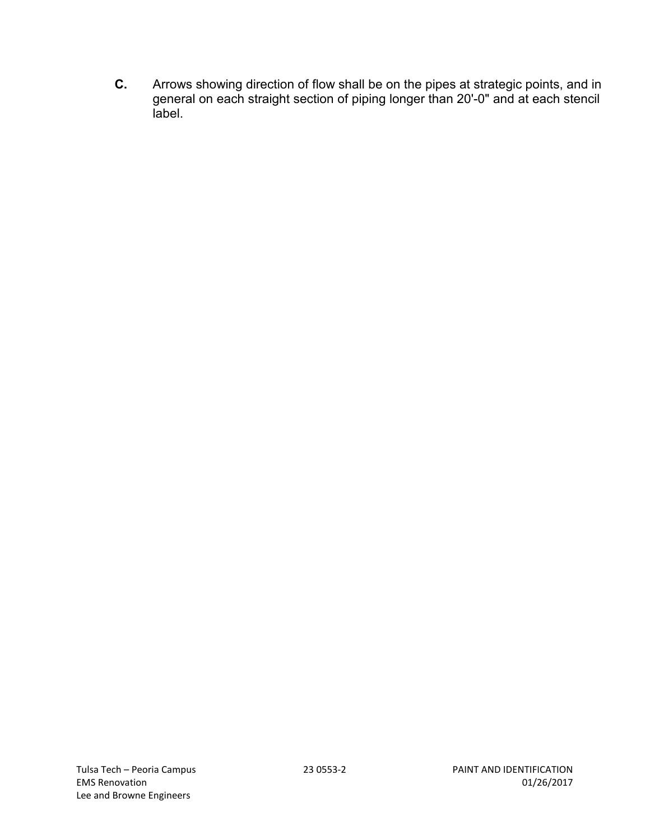**C.** Arrows showing direction of flow shall be on the pipes at strategic points, and in general on each straight section of piping longer than 20'-0" and at each stencil label.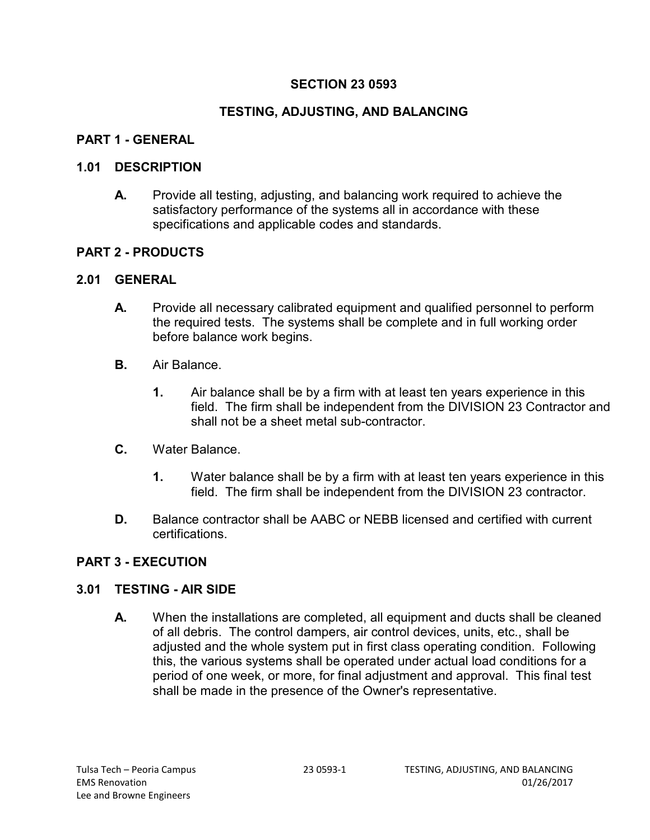### **TESTING, ADJUSTING, AND BALANCING**

#### **PART 1 - GENERAL**

#### **1.01 DESCRIPTION**

**A.** Provide all testing, adjusting, and balancing work required to achieve the satisfactory performance of the systems all in accordance with these specifications and applicable codes and standards.

#### **PART 2 - PRODUCTS**

#### **2.01 GENERAL**

- **A.** Provide all necessary calibrated equipment and qualified personnel to perform the required tests. The systems shall be complete and in full working order before balance work begins.
- **B.** Air Balance.
	- **1.** Air balance shall be by a firm with at least ten years experience in this field. The firm shall be independent from the DIVISION 23 Contractor and shall not be a sheet metal sub-contractor.
- **C.** Water Balance.
	- **1.** Water balance shall be by a firm with at least ten years experience in this field. The firm shall be independent from the DIVISION 23 contractor.
- **D.** Balance contractor shall be AABC or NEBB licensed and certified with current certifications.

### **PART 3 - EXECUTION**

### **3.01 TESTING - AIR SIDE**

**A.** When the installations are completed, all equipment and ducts shall be cleaned of all debris. The control dampers, air control devices, units, etc., shall be adjusted and the whole system put in first class operating condition. Following this, the various systems shall be operated under actual load conditions for a period of one week, or more, for final adjustment and approval. This final test shall be made in the presence of the Owner's representative.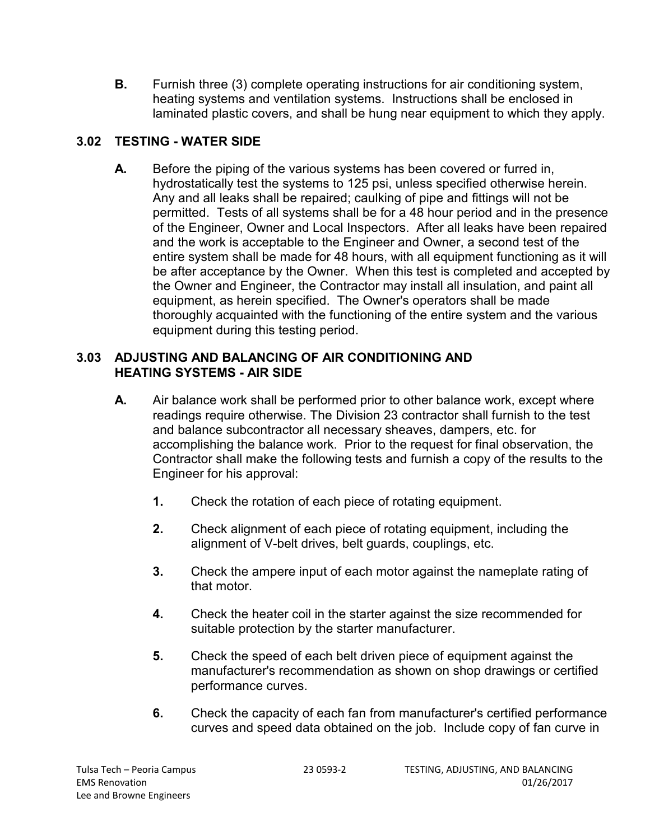**B.** Furnish three (3) complete operating instructions for air conditioning system, heating systems and ventilation systems. Instructions shall be enclosed in laminated plastic covers, and shall be hung near equipment to which they apply.

# **3.02 TESTING - WATER SIDE**

**A.** Before the piping of the various systems has been covered or furred in, hydrostatically test the systems to 125 psi, unless specified otherwise herein. Any and all leaks shall be repaired; caulking of pipe and fittings will not be permitted. Tests of all systems shall be for a 48 hour period and in the presence of the Engineer, Owner and Local Inspectors. After all leaks have been repaired and the work is acceptable to the Engineer and Owner, a second test of the entire system shall be made for 48 hours, with all equipment functioning as it will be after acceptance by the Owner. When this test is completed and accepted by the Owner and Engineer, the Contractor may install all insulation, and paint all equipment, as herein specified. The Owner's operators shall be made thoroughly acquainted with the functioning of the entire system and the various equipment during this testing period.

### **3.03 ADJUSTING AND BALANCING OF AIR CONDITIONING AND HEATING SYSTEMS - AIR SIDE**

- **A.** Air balance work shall be performed prior to other balance work, except where readings require otherwise. The Division 23 contractor shall furnish to the test and balance subcontractor all necessary sheaves, dampers, etc. for accomplishing the balance work. Prior to the request for final observation, the Contractor shall make the following tests and furnish a copy of the results to the Engineer for his approval:
	- **1.** Check the rotation of each piece of rotating equipment.
	- **2.** Check alignment of each piece of rotating equipment, including the alignment of V-belt drives, belt guards, couplings, etc.
	- **3.** Check the ampere input of each motor against the nameplate rating of that motor.
	- **4.** Check the heater coil in the starter against the size recommended for suitable protection by the starter manufacturer.
	- **5.** Check the speed of each belt driven piece of equipment against the manufacturer's recommendation as shown on shop drawings or certified performance curves.
	- **6.** Check the capacity of each fan from manufacturer's certified performance curves and speed data obtained on the job. Include copy of fan curve in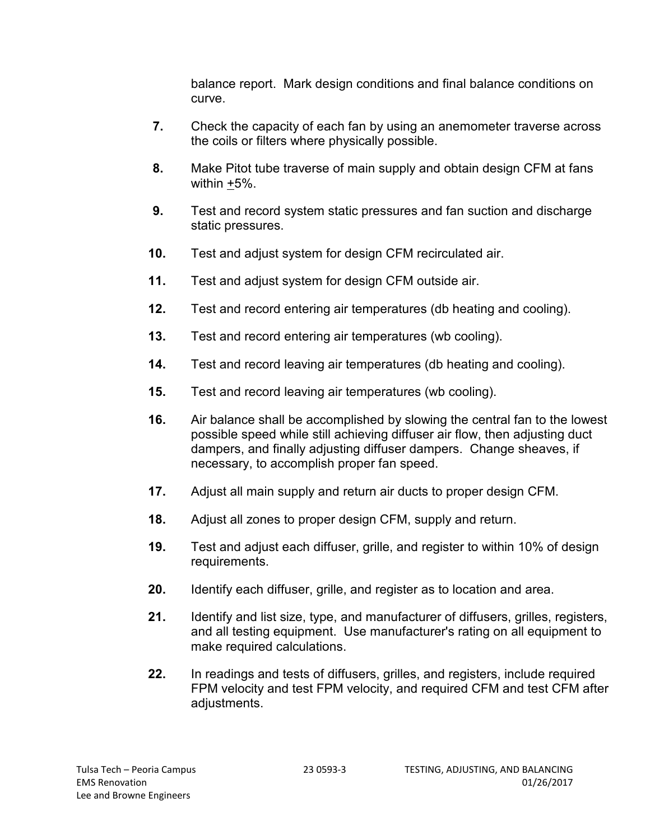balance report. Mark design conditions and final balance conditions on curve.

- **7.** Check the capacity of each fan by using an anemometer traverse across the coils or filters where physically possible.
- **8.** Make Pitot tube traverse of main supply and obtain design CFM at fans within +5%.
- **9.** Test and record system static pressures and fan suction and discharge static pressures.
- **10.** Test and adjust system for design CFM recirculated air.
- **11.** Test and adjust system for design CFM outside air.
- **12.** Test and record entering air temperatures (db heating and cooling).
- **13.** Test and record entering air temperatures (wb cooling).
- **14.** Test and record leaving air temperatures (db heating and cooling).
- **15.** Test and record leaving air temperatures (wb cooling).
- **16.** Air balance shall be accomplished by slowing the central fan to the lowest possible speed while still achieving diffuser air flow, then adjusting duct dampers, and finally adjusting diffuser dampers. Change sheaves, if necessary, to accomplish proper fan speed.
- **17.** Adjust all main supply and return air ducts to proper design CFM.
- **18.** Adjust all zones to proper design CFM, supply and return.
- **19.** Test and adjust each diffuser, grille, and register to within 10% of design requirements.
- **20.** Identify each diffuser, grille, and register as to location and area.
- **21.** Identify and list size, type, and manufacturer of diffusers, grilles, registers, and all testing equipment. Use manufacturer's rating on all equipment to make required calculations.
- **22.** In readings and tests of diffusers, grilles, and registers, include required FPM velocity and test FPM velocity, and required CFM and test CFM after adjustments.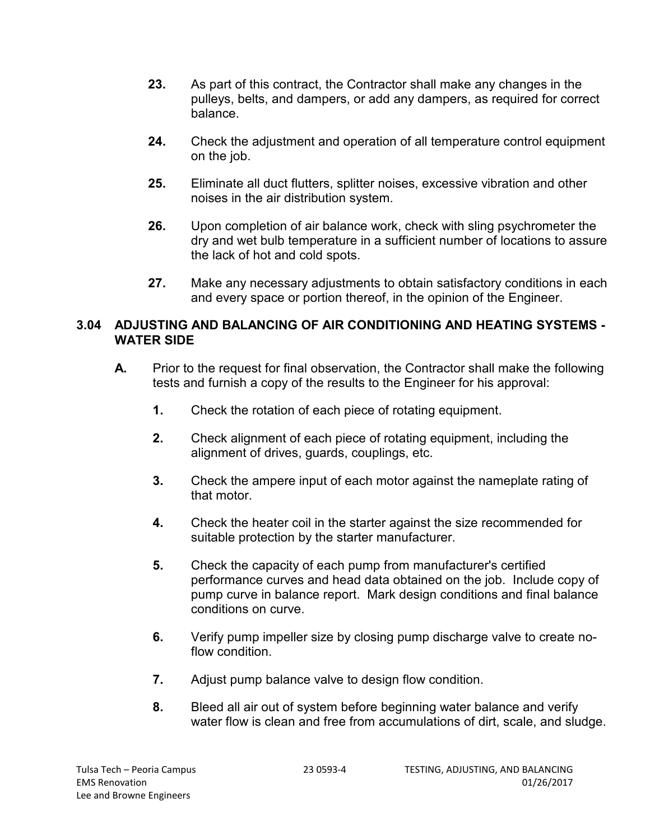- **23.** As part of this contract, the Contractor shall make any changes in the pulleys, belts, and dampers, or add any dampers, as required for correct balance.
- **24.** Check the adjustment and operation of all temperature control equipment on the job.
- **25.** Eliminate all duct flutters, splitter noises, excessive vibration and other noises in the air distribution system.
- **26.** Upon completion of air balance work, check with sling psychrometer the dry and wet bulb temperature in a sufficient number of locations to assure the lack of hot and cold spots.
- **27.** Make any necessary adjustments to obtain satisfactory conditions in each and every space or portion thereof, in the opinion of the Engineer.

#### **3.04 ADJUSTING AND BALANCING OF AIR CONDITIONING AND HEATING SYSTEMS - WATER SIDE**

- **A.** Prior to the request for final observation, the Contractor shall make the following tests and furnish a copy of the results to the Engineer for his approval:
	- **1.** Check the rotation of each piece of rotating equipment.
	- **2.** Check alignment of each piece of rotating equipment, including the alignment of drives, guards, couplings, etc.
	- **3.** Check the ampere input of each motor against the nameplate rating of that motor.
	- **4.** Check the heater coil in the starter against the size recommended for suitable protection by the starter manufacturer.
	- **5.** Check the capacity of each pump from manufacturer's certified performance curves and head data obtained on the job. Include copy of pump curve in balance report. Mark design conditions and final balance conditions on curve.
	- **6.** Verify pump impeller size by closing pump discharge valve to create noflow condition.
	- **7.** Adjust pump balance valve to design flow condition.
	- **8.** Bleed all air out of system before beginning water balance and verify water flow is clean and free from accumulations of dirt, scale, and sludge.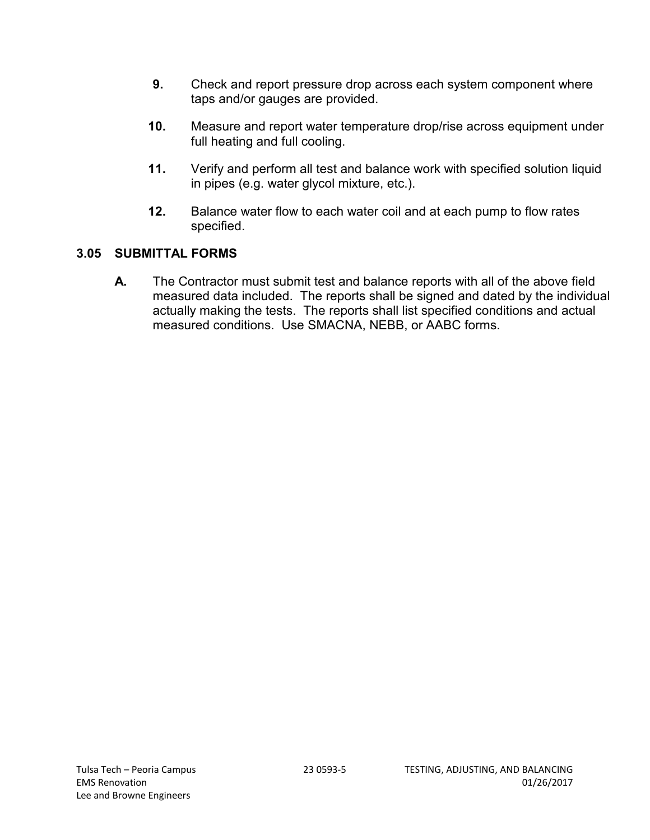- **9.** Check and report pressure drop across each system component where taps and/or gauges are provided.
- **10.** Measure and report water temperature drop/rise across equipment under full heating and full cooling.
- **11.** Verify and perform all test and balance work with specified solution liquid in pipes (e.g. water glycol mixture, etc.).
- **12.** Balance water flow to each water coil and at each pump to flow rates specified.

# **3.05 SUBMITTAL FORMS**

**A.** The Contractor must submit test and balance reports with all of the above field measured data included. The reports shall be signed and dated by the individual actually making the tests. The reports shall list specified conditions and actual measured conditions. Use SMACNA, NEBB, or AABC forms.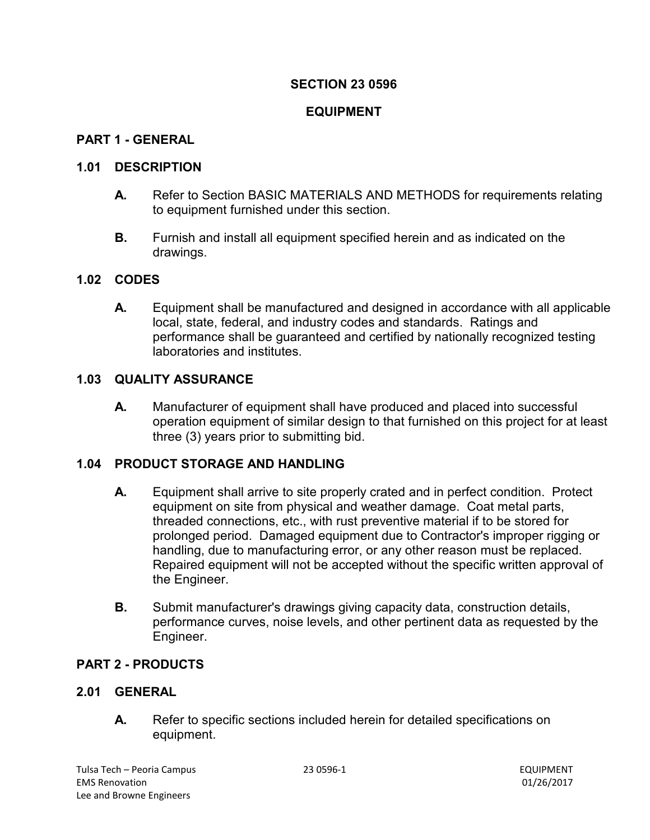#### **EQUIPMENT**

#### **PART 1 - GENERAL**

#### **1.01 DESCRIPTION**

- **A.** Refer to Section BASIC MATERIALS AND METHODS for requirements relating to equipment furnished under this section.
- **B.** Furnish and install all equipment specified herein and as indicated on the drawings.

#### **1.02 CODES**

**A.** Equipment shall be manufactured and designed in accordance with all applicable local, state, federal, and industry codes and standards. Ratings and performance shall be guaranteed and certified by nationally recognized testing laboratories and institutes.

#### **1.03 QUALITY ASSURANCE**

**A.** Manufacturer of equipment shall have produced and placed into successful operation equipment of similar design to that furnished on this project for at least three (3) years prior to submitting bid.

#### **1.04 PRODUCT STORAGE AND HANDLING**

- **A.** Equipment shall arrive to site properly crated and in perfect condition. Protect equipment on site from physical and weather damage. Coat metal parts, threaded connections, etc., with rust preventive material if to be stored for prolonged period. Damaged equipment due to Contractor's improper rigging or handling, due to manufacturing error, or any other reason must be replaced. Repaired equipment will not be accepted without the specific written approval of the Engineer.
- **B.** Submit manufacturer's drawings giving capacity data, construction details, performance curves, noise levels, and other pertinent data as requested by the Engineer.

#### **PART 2 - PRODUCTS**

#### **2.01 GENERAL**

**A.** Refer to specific sections included herein for detailed specifications on equipment.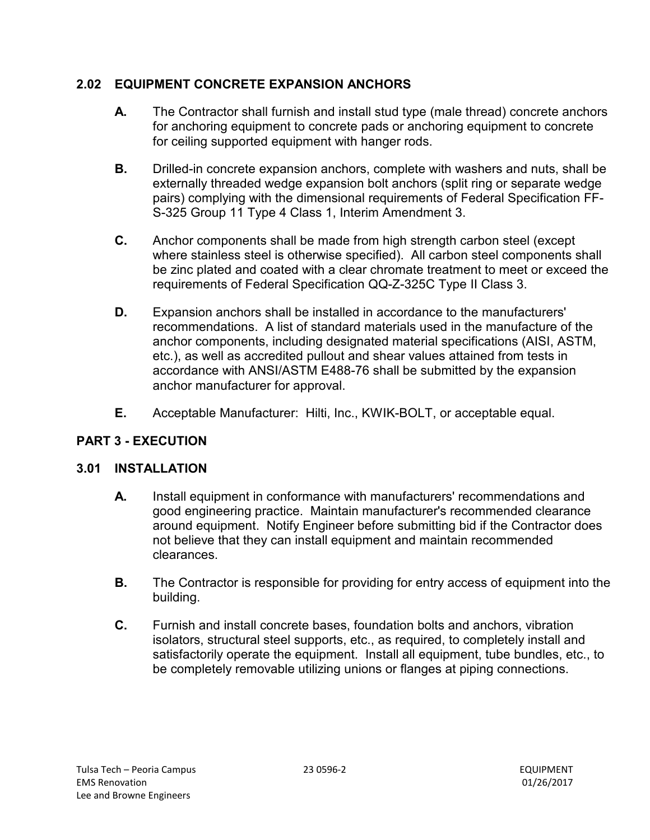# **2.02 EQUIPMENT CONCRETE EXPANSION ANCHORS**

- **A.** The Contractor shall furnish and install stud type (male thread) concrete anchors for anchoring equipment to concrete pads or anchoring equipment to concrete for ceiling supported equipment with hanger rods.
- **B.** Drilled-in concrete expansion anchors, complete with washers and nuts, shall be externally threaded wedge expansion bolt anchors (split ring or separate wedge pairs) complying with the dimensional requirements of Federal Specification FF-S-325 Group 11 Type 4 Class 1, Interim Amendment 3.
- **C.** Anchor components shall be made from high strength carbon steel (except where stainless steel is otherwise specified). All carbon steel components shall be zinc plated and coated with a clear chromate treatment to meet or exceed the requirements of Federal Specification QQ-Z-325C Type II Class 3.
- **D.** Expansion anchors shall be installed in accordance to the manufacturers' recommendations. A list of standard materials used in the manufacture of the anchor components, including designated material specifications (AISI, ASTM, etc.), as well as accredited pullout and shear values attained from tests in accordance with ANSI/ASTM E488-76 shall be submitted by the expansion anchor manufacturer for approval.
- **E.** Acceptable Manufacturer: Hilti, Inc., KWIK-BOLT, or acceptable equal.

# **PART 3 - EXECUTION**

# **3.01 INSTALLATION**

- **A.** Install equipment in conformance with manufacturers' recommendations and good engineering practice. Maintain manufacturer's recommended clearance around equipment. Notify Engineer before submitting bid if the Contractor does not believe that they can install equipment and maintain recommended clearances.
- **B.** The Contractor is responsible for providing for entry access of equipment into the building.
- **C.** Furnish and install concrete bases, foundation bolts and anchors, vibration isolators, structural steel supports, etc., as required, to completely install and satisfactorily operate the equipment. Install all equipment, tube bundles, etc., to be completely removable utilizing unions or flanges at piping connections.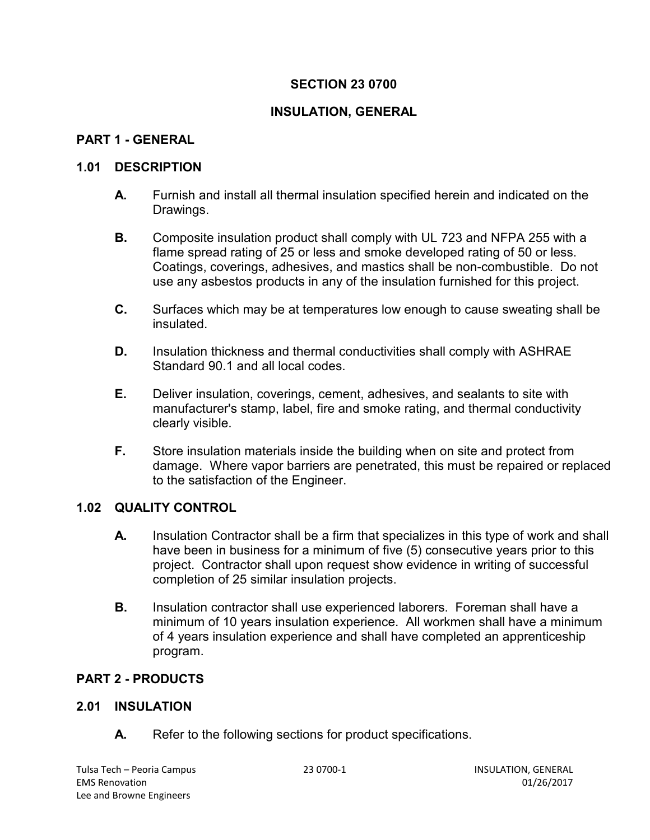# **INSULATION, GENERAL**

## **PART 1 - GENERAL**

#### **1.01 DESCRIPTION**

- **A.** Furnish and install all thermal insulation specified herein and indicated on the Drawings.
- **B.** Composite insulation product shall comply with UL 723 and NFPA 255 with a flame spread rating of 25 or less and smoke developed rating of 50 or less. Coatings, coverings, adhesives, and mastics shall be non-combustible. Do not use any asbestos products in any of the insulation furnished for this project.
- **C.** Surfaces which may be at temperatures low enough to cause sweating shall be insulated.
- **D.** Insulation thickness and thermal conductivities shall comply with ASHRAE Standard 90.1 and all local codes.
- **E.** Deliver insulation, coverings, cement, adhesives, and sealants to site with manufacturer's stamp, label, fire and smoke rating, and thermal conductivity clearly visible.
- **F.** Store insulation materials inside the building when on site and protect from damage. Where vapor barriers are penetrated, this must be repaired or replaced to the satisfaction of the Engineer.

### **1.02 QUALITY CONTROL**

- **A.** Insulation Contractor shall be a firm that specializes in this type of work and shall have been in business for a minimum of five (5) consecutive years prior to this project. Contractor shall upon request show evidence in writing of successful completion of 25 similar insulation projects.
- **B.** Insulation contractor shall use experienced laborers. Foreman shall have a minimum of 10 years insulation experience. All workmen shall have a minimum of 4 years insulation experience and shall have completed an apprenticeship program.

# **PART 2 - PRODUCTS**

### **2.01 INSULATION**

**A.** Refer to the following sections for product specifications.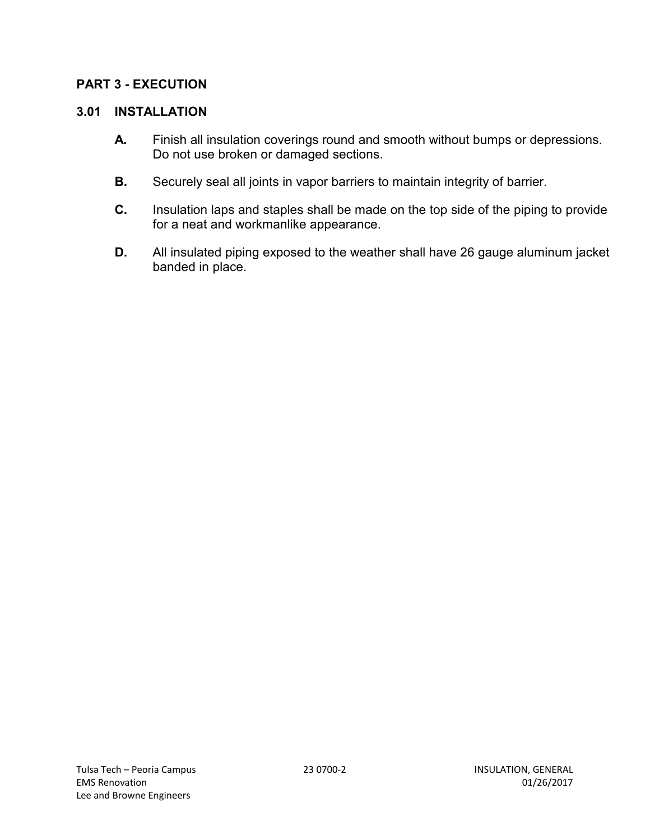### **PART 3 - EXECUTION**

### **3.01 INSTALLATION**

- **A.** Finish all insulation coverings round and smooth without bumps or depressions. Do not use broken or damaged sections.
- **B.** Securely seal all joints in vapor barriers to maintain integrity of barrier.
- **C.** Insulation laps and staples shall be made on the top side of the piping to provide for a neat and workmanlike appearance.
- **D.** All insulated piping exposed to the weather shall have 26 gauge aluminum jacket banded in place.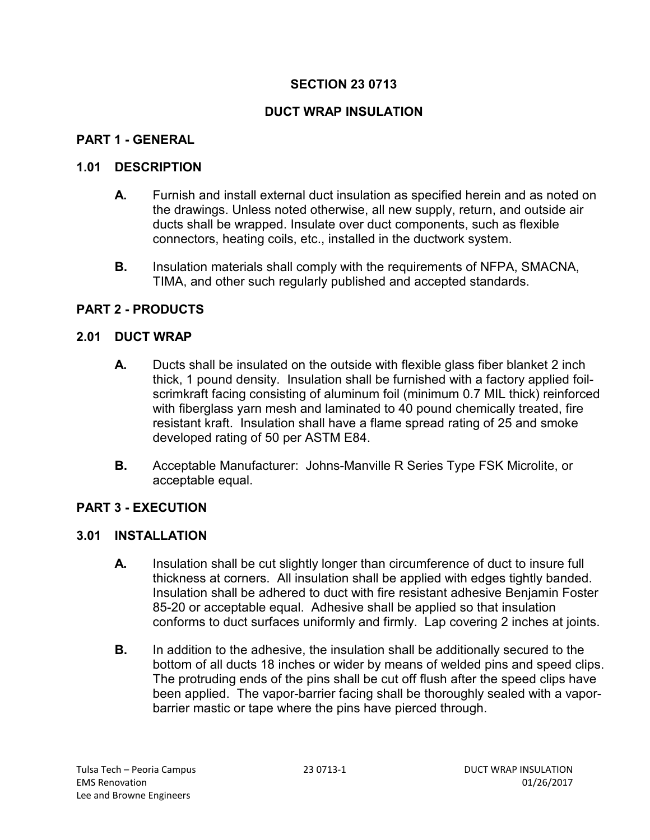### **DUCT WRAP INSULATION**

### **PART 1 - GENERAL**

#### **1.01 DESCRIPTION**

- **A.** Furnish and install external duct insulation as specified herein and as noted on the drawings. Unless noted otherwise, all new supply, return, and outside air ducts shall be wrapped. Insulate over duct components, such as flexible connectors, heating coils, etc., installed in the ductwork system.
- **B.** Insulation materials shall comply with the requirements of NFPA, SMACNA, TIMA, and other such regularly published and accepted standards.

### **PART 2 - PRODUCTS**

#### **2.01 DUCT WRAP**

- **A.** Ducts shall be insulated on the outside with flexible glass fiber blanket 2 inch thick, 1 pound density. Insulation shall be furnished with a factory applied foilscrimkraft facing consisting of aluminum foil (minimum 0.7 MIL thick) reinforced with fiberglass yarn mesh and laminated to 40 pound chemically treated, fire resistant kraft. Insulation shall have a flame spread rating of 25 and smoke developed rating of 50 per ASTM E84.
- **B.** Acceptable Manufacturer: Johns-Manville R Series Type FSK Microlite, or acceptable equal.

#### **PART 3 - EXECUTION**

#### **3.01 INSTALLATION**

- **A.** Insulation shall be cut slightly longer than circumference of duct to insure full thickness at corners. All insulation shall be applied with edges tightly banded. Insulation shall be adhered to duct with fire resistant adhesive Benjamin Foster 85-20 or acceptable equal. Adhesive shall be applied so that insulation conforms to duct surfaces uniformly and firmly. Lap covering 2 inches at joints.
- **B.** In addition to the adhesive, the insulation shall be additionally secured to the bottom of all ducts 18 inches or wider by means of welded pins and speed clips. The protruding ends of the pins shall be cut off flush after the speed clips have been applied. The vapor-barrier facing shall be thoroughly sealed with a vaporbarrier mastic or tape where the pins have pierced through.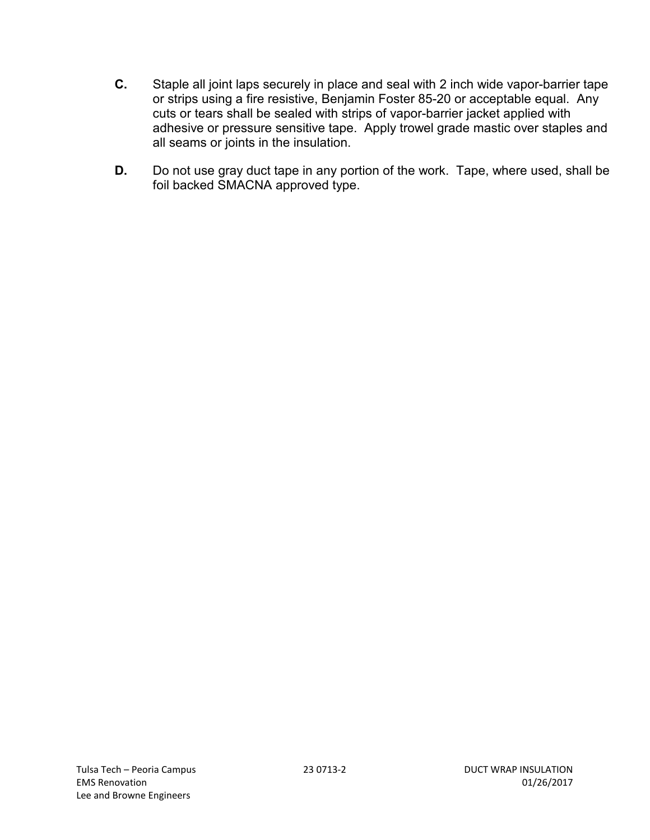- **C.** Staple all joint laps securely in place and seal with 2 inch wide vapor-barrier tape or strips using a fire resistive, Benjamin Foster 85-20 or acceptable equal. Any cuts or tears shall be sealed with strips of vapor-barrier jacket applied with adhesive or pressure sensitive tape. Apply trowel grade mastic over staples and all seams or joints in the insulation.
- **D.** Do not use gray duct tape in any portion of the work. Tape, where used, shall be foil backed SMACNA approved type.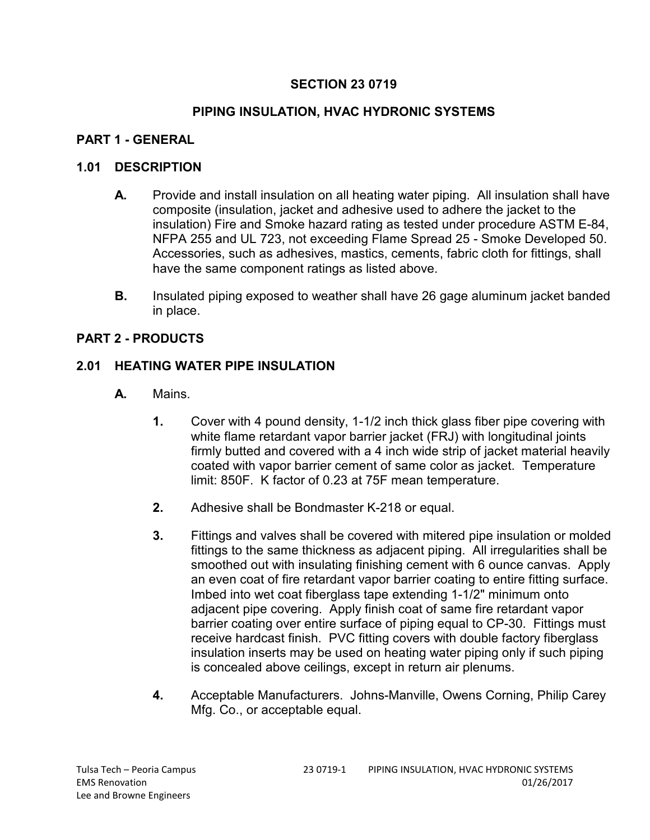## **PIPING INSULATION, HVAC HYDRONIC SYSTEMS**

## **PART 1 - GENERAL**

#### **1.01 DESCRIPTION**

- **A.** Provide and install insulation on all heating water piping. All insulation shall have composite (insulation, jacket and adhesive used to adhere the jacket to the insulation) Fire and Smoke hazard rating as tested under procedure ASTM E-84, NFPA 255 and UL 723, not exceeding Flame Spread 25 - Smoke Developed 50. Accessories, such as adhesives, mastics, cements, fabric cloth for fittings, shall have the same component ratings as listed above.
- **B.** Insulated piping exposed to weather shall have 26 gage aluminum jacket banded in place.

### **PART 2 - PRODUCTS**

### **2.01 HEATING WATER PIPE INSULATION**

- **A.** Mains.
	- **1.** Cover with 4 pound density, 1-1/2 inch thick glass fiber pipe covering with white flame retardant vapor barrier jacket (FRJ) with longitudinal joints firmly butted and covered with a 4 inch wide strip of jacket material heavily coated with vapor barrier cement of same color as jacket. Temperature limit: 850F. K factor of 0.23 at 75F mean temperature.
	- **2.** Adhesive shall be Bondmaster K-218 or equal.
	- **3.** Fittings and valves shall be covered with mitered pipe insulation or molded fittings to the same thickness as adjacent piping. All irregularities shall be smoothed out with insulating finishing cement with 6 ounce canvas. Apply an even coat of fire retardant vapor barrier coating to entire fitting surface. Imbed into wet coat fiberglass tape extending 1-1/2" minimum onto adjacent pipe covering. Apply finish coat of same fire retardant vapor barrier coating over entire surface of piping equal to CP-30. Fittings must receive hardcast finish. PVC fitting covers with double factory fiberglass insulation inserts may be used on heating water piping only if such piping is concealed above ceilings, except in return air plenums.
	- **4.** Acceptable Manufacturers. Johns-Manville, Owens Corning, Philip Carey Mfg. Co., or acceptable equal.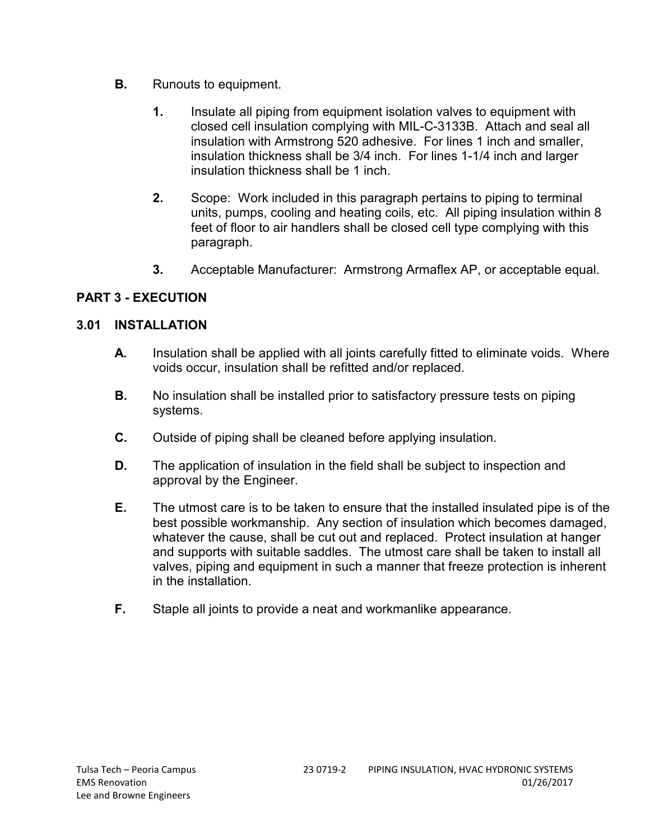- **B.** Runouts to equipment.
	- **1.** Insulate all piping from equipment isolation valves to equipment with closed cell insulation complying with MIL-C-3133B. Attach and seal all insulation with Armstrong 520 adhesive. For lines 1 inch and smaller, insulation thickness shall be 3/4 inch. For lines 1-1/4 inch and larger insulation thickness shall be 1 inch.
	- **2.** Scope: Work included in this paragraph pertains to piping to terminal units, pumps, cooling and heating coils, etc. All piping insulation within 8 feet of floor to air handlers shall be closed cell type complying with this paragraph.
	- **3.** Acceptable Manufacturer: Armstrong Armaflex AP, or acceptable equal.

# **PART 3 - EXECUTION**

### **3.01 INSTALLATION**

- **A.** Insulation shall be applied with all joints carefully fitted to eliminate voids. Where voids occur, insulation shall be refitted and/or replaced.
- **B.** No insulation shall be installed prior to satisfactory pressure tests on piping systems.
- **C.** Outside of piping shall be cleaned before applying insulation.
- **D.** The application of insulation in the field shall be subject to inspection and approval by the Engineer.
- **E.** The utmost care is to be taken to ensure that the installed insulated pipe is of the best possible workmanship. Any section of insulation which becomes damaged, whatever the cause, shall be cut out and replaced. Protect insulation at hanger and supports with suitable saddles. The utmost care shall be taken to install all valves, piping and equipment in such a manner that freeze protection is inherent in the installation.
- **F.** Staple all joints to provide a neat and workmanlike appearance.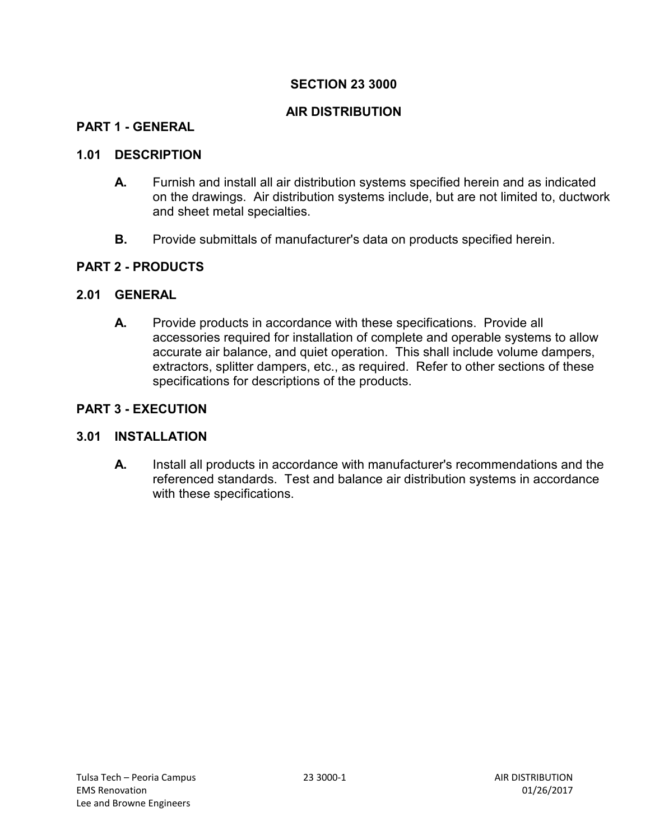### **AIR DISTRIBUTION**

#### **PART 1 - GENERAL**

#### **1.01 DESCRIPTION**

- **A.** Furnish and install all air distribution systems specified herein and as indicated on the drawings. Air distribution systems include, but are not limited to, ductwork and sheet metal specialties.
- **B.** Provide submittals of manufacturer's data on products specified herein.

#### **PART 2 - PRODUCTS**

#### **2.01 GENERAL**

**A.** Provide products in accordance with these specifications. Provide all accessories required for installation of complete and operable systems to allow accurate air balance, and quiet operation. This shall include volume dampers, extractors, splitter dampers, etc., as required. Refer to other sections of these specifications for descriptions of the products.

#### **PART 3 - EXECUTION**

#### **3.01 INSTALLATION**

**A.** Install all products in accordance with manufacturer's recommendations and the referenced standards. Test and balance air distribution systems in accordance with these specifications.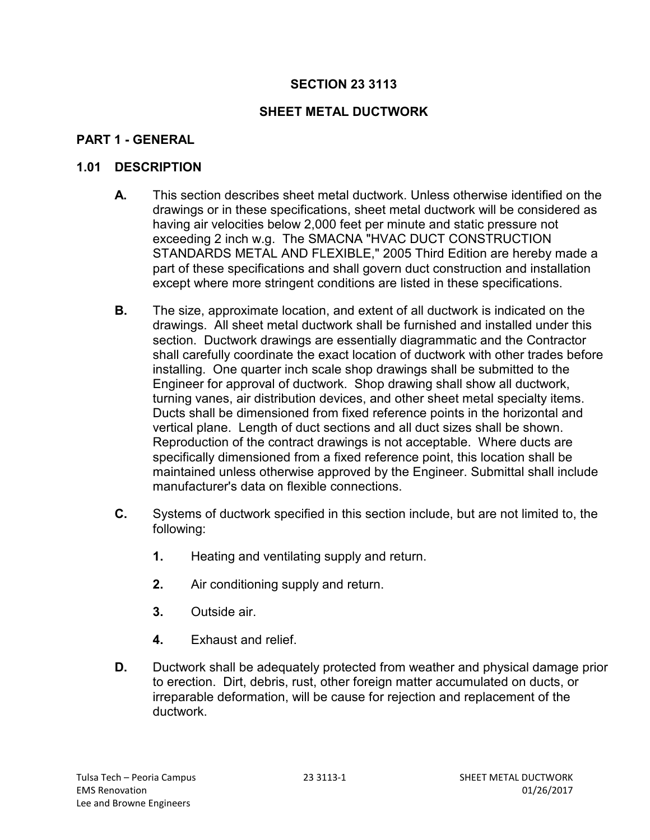# **SHEET METAL DUCTWORK**

# **PART 1 - GENERAL**

#### **1.01 DESCRIPTION**

- **A.** This section describes sheet metal ductwork. Unless otherwise identified on the drawings or in these specifications, sheet metal ductwork will be considered as having air velocities below 2,000 feet per minute and static pressure not exceeding 2 inch w.g. The SMACNA "HVAC DUCT CONSTRUCTION STANDARDS METAL AND FLEXIBLE," 2005 Third Edition are hereby made a part of these specifications and shall govern duct construction and installation except where more stringent conditions are listed in these specifications.
- **B.** The size, approximate location, and extent of all ductwork is indicated on the drawings. All sheet metal ductwork shall be furnished and installed under this section. Ductwork drawings are essentially diagrammatic and the Contractor shall carefully coordinate the exact location of ductwork with other trades before installing. One quarter inch scale shop drawings shall be submitted to the Engineer for approval of ductwork. Shop drawing shall show all ductwork, turning vanes, air distribution devices, and other sheet metal specialty items. Ducts shall be dimensioned from fixed reference points in the horizontal and vertical plane. Length of duct sections and all duct sizes shall be shown. Reproduction of the contract drawings is not acceptable. Where ducts are specifically dimensioned from a fixed reference point, this location shall be maintained unless otherwise approved by the Engineer. Submittal shall include manufacturer's data on flexible connections.
- **C.** Systems of ductwork specified in this section include, but are not limited to, the following:
	- **1.** Heating and ventilating supply and return.
	- **2.** Air conditioning supply and return.
	- **3.** Outside air.
	- **4.** Exhaust and relief.
- **D.** Ductwork shall be adequately protected from weather and physical damage prior to erection. Dirt, debris, rust, other foreign matter accumulated on ducts, or irreparable deformation, will be cause for rejection and replacement of the ductwork.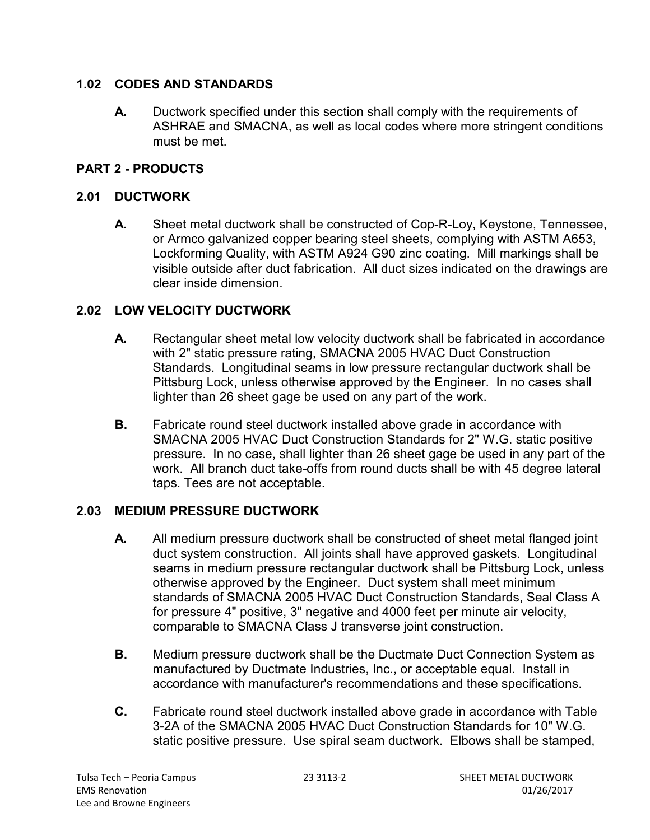### **1.02 CODES AND STANDARDS**

**A.** Ductwork specified under this section shall comply with the requirements of ASHRAE and SMACNA, as well as local codes where more stringent conditions must be met.

# **PART 2 - PRODUCTS**

# **2.01 DUCTWORK**

**A.** Sheet metal ductwork shall be constructed of Cop-R-Loy, Keystone, Tennessee, or Armco galvanized copper bearing steel sheets, complying with ASTM A653, Lockforming Quality, with ASTM A924 G90 zinc coating. Mill markings shall be visible outside after duct fabrication. All duct sizes indicated on the drawings are clear inside dimension.

# **2.02 LOW VELOCITY DUCTWORK**

- **A.** Rectangular sheet metal low velocity ductwork shall be fabricated in accordance with 2" static pressure rating, SMACNA 2005 HVAC Duct Construction Standards. Longitudinal seams in low pressure rectangular ductwork shall be Pittsburg Lock, unless otherwise approved by the Engineer. In no cases shall lighter than 26 sheet gage be used on any part of the work.
- **B.** Fabricate round steel ductwork installed above grade in accordance with SMACNA 2005 HVAC Duct Construction Standards for 2" W.G. static positive pressure. In no case, shall lighter than 26 sheet gage be used in any part of the work. All branch duct take-offs from round ducts shall be with 45 degree lateral taps. Tees are not acceptable.

# **2.03 MEDIUM PRESSURE DUCTWORK**

- **A.** All medium pressure ductwork shall be constructed of sheet metal flanged joint duct system construction. All joints shall have approved gaskets. Longitudinal seams in medium pressure rectangular ductwork shall be Pittsburg Lock, unless otherwise approved by the Engineer. Duct system shall meet minimum standards of SMACNA 2005 HVAC Duct Construction Standards, Seal Class A for pressure 4" positive, 3" negative and 4000 feet per minute air velocity, comparable to SMACNA Class J transverse joint construction.
- **B.** Medium pressure ductwork shall be the Ductmate Duct Connection System as manufactured by Ductmate Industries, Inc., or acceptable equal. Install in accordance with manufacturer's recommendations and these specifications.
- **C.** Fabricate round steel ductwork installed above grade in accordance with Table 3-2A of the SMACNA 2005 HVAC Duct Construction Standards for 10" W.G. static positive pressure. Use spiral seam ductwork. Elbows shall be stamped,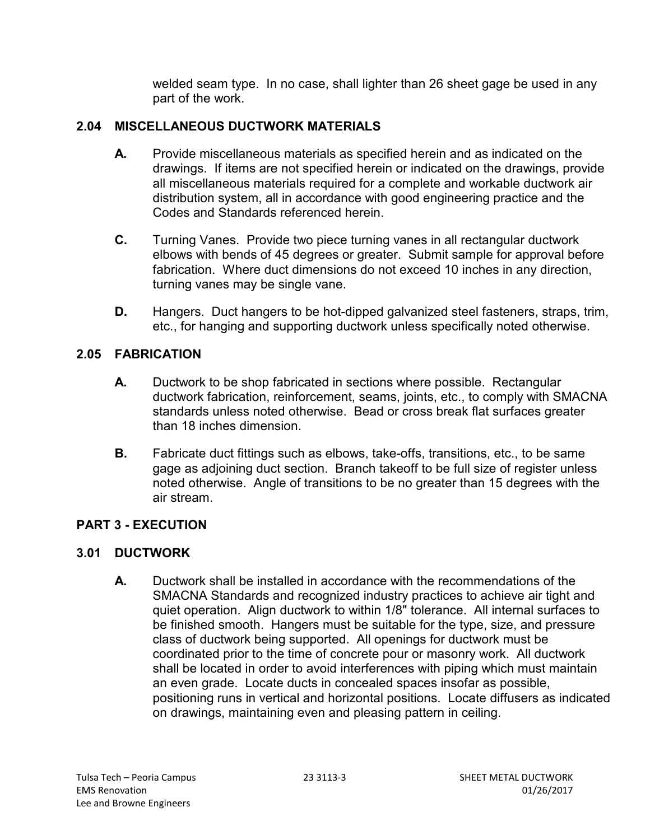welded seam type. In no case, shall lighter than 26 sheet gage be used in any part of the work.

# **2.04 MISCELLANEOUS DUCTWORK MATERIALS**

- **A.** Provide miscellaneous materials as specified herein and as indicated on the drawings. If items are not specified herein or indicated on the drawings, provide all miscellaneous materials required for a complete and workable ductwork air distribution system, all in accordance with good engineering practice and the Codes and Standards referenced herein.
- **C.** Turning Vanes. Provide two piece turning vanes in all rectangular ductwork elbows with bends of 45 degrees or greater. Submit sample for approval before fabrication. Where duct dimensions do not exceed 10 inches in any direction, turning vanes may be single vane.
- **D.** Hangers. Duct hangers to be hot-dipped galvanized steel fasteners, straps, trim, etc., for hanging and supporting ductwork unless specifically noted otherwise.

### **2.05 FABRICATION**

- **A.** Ductwork to be shop fabricated in sections where possible. Rectangular ductwork fabrication, reinforcement, seams, joints, etc., to comply with SMACNA standards unless noted otherwise. Bead or cross break flat surfaces greater than 18 inches dimension.
- **B.** Fabricate duct fittings such as elbows, take-offs, transitions, etc., to be same gage as adjoining duct section. Branch takeoff to be full size of register unless noted otherwise. Angle of transitions to be no greater than 15 degrees with the air stream.

### **PART 3 - EXECUTION**

### **3.01 DUCTWORK**

**A.** Ductwork shall be installed in accordance with the recommendations of the SMACNA Standards and recognized industry practices to achieve air tight and quiet operation. Align ductwork to within 1/8" tolerance. All internal surfaces to be finished smooth. Hangers must be suitable for the type, size, and pressure class of ductwork being supported. All openings for ductwork must be coordinated prior to the time of concrete pour or masonry work. All ductwork shall be located in order to avoid interferences with piping which must maintain an even grade. Locate ducts in concealed spaces insofar as possible, positioning runs in vertical and horizontal positions. Locate diffusers as indicated on drawings, maintaining even and pleasing pattern in ceiling.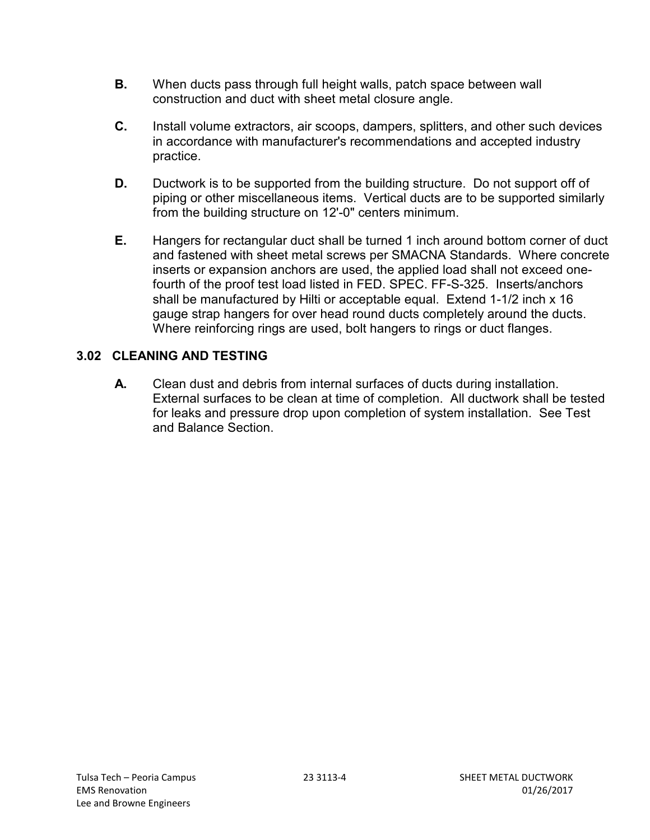- **B.** When ducts pass through full height walls, patch space between wall construction and duct with sheet metal closure angle.
- **C.** Install volume extractors, air scoops, dampers, splitters, and other such devices in accordance with manufacturer's recommendations and accepted industry practice.
- **D.** Ductwork is to be supported from the building structure. Do not support off of piping or other miscellaneous items. Vertical ducts are to be supported similarly from the building structure on 12'-0" centers minimum.
- **E.** Hangers for rectangular duct shall be turned 1 inch around bottom corner of duct and fastened with sheet metal screws per SMACNA Standards. Where concrete inserts or expansion anchors are used, the applied load shall not exceed onefourth of the proof test load listed in FED. SPEC. FF-S-325. Inserts/anchors shall be manufactured by Hilti or acceptable equal. Extend 1-1/2 inch x 16 gauge strap hangers for over head round ducts completely around the ducts. Where reinforcing rings are used, bolt hangers to rings or duct flanges.

# **3.02 CLEANING AND TESTING**

**A.** Clean dust and debris from internal surfaces of ducts during installation. External surfaces to be clean at time of completion. All ductwork shall be tested for leaks and pressure drop upon completion of system installation. See Test and Balance Section.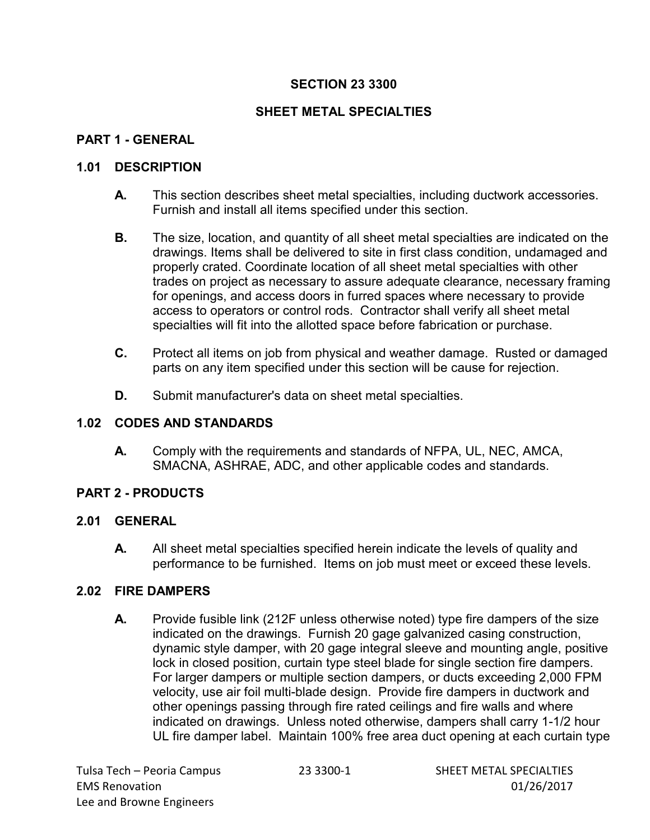# **SHEET METAL SPECIALTIES**

## **PART 1 - GENERAL**

#### **1.01 DESCRIPTION**

- **A.** This section describes sheet metal specialties, including ductwork accessories. Furnish and install all items specified under this section.
- **B.** The size, location, and quantity of all sheet metal specialties are indicated on the drawings. Items shall be delivered to site in first class condition, undamaged and properly crated. Coordinate location of all sheet metal specialties with other trades on project as necessary to assure adequate clearance, necessary framing for openings, and access doors in furred spaces where necessary to provide access to operators or control rods. Contractor shall verify all sheet metal specialties will fit into the allotted space before fabrication or purchase.
- **C.** Protect all items on job from physical and weather damage. Rusted or damaged parts on any item specified under this section will be cause for rejection.
- **D.** Submit manufacturer's data on sheet metal specialties.

#### **1.02 CODES AND STANDARDS**

**A.** Comply with the requirements and standards of NFPA, UL, NEC, AMCA, SMACNA, ASHRAE, ADC, and other applicable codes and standards.

### **PART 2 - PRODUCTS**

#### **2.01 GENERAL**

**A.** All sheet metal specialties specified herein indicate the levels of quality and performance to be furnished. Items on job must meet or exceed these levels.

### **2.02 FIRE DAMPERS**

**A.** Provide fusible link (212F unless otherwise noted) type fire dampers of the size indicated on the drawings. Furnish 20 gage galvanized casing construction, dynamic style damper, with 20 gage integral sleeve and mounting angle, positive lock in closed position, curtain type steel blade for single section fire dampers. For larger dampers or multiple section dampers, or ducts exceeding 2,000 FPM velocity, use air foil multi-blade design. Provide fire dampers in ductwork and other openings passing through fire rated ceilings and fire walls and where indicated on drawings. Unless noted otherwise, dampers shall carry 1-1/2 hour UL fire damper label. Maintain 100% free area duct opening at each curtain type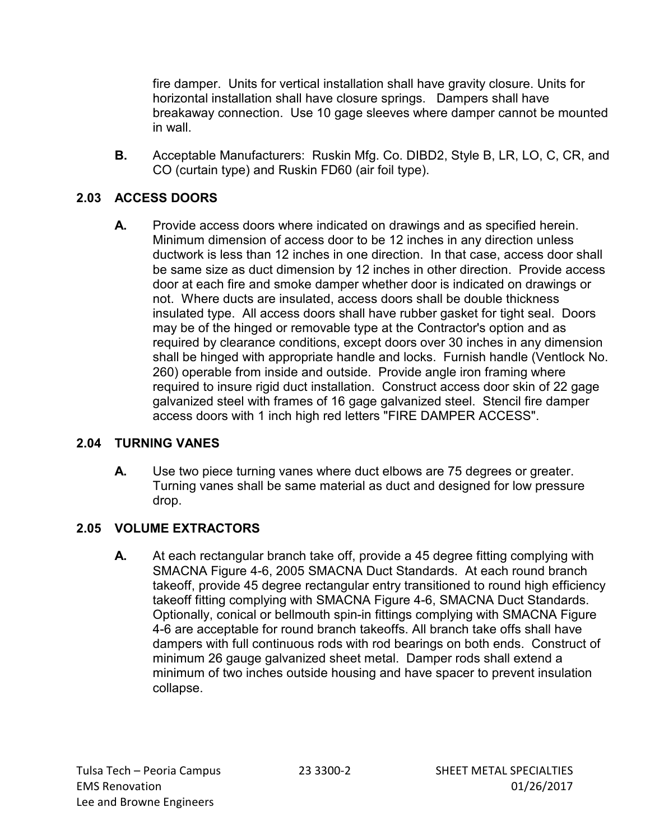fire damper. Units for vertical installation shall have gravity closure. Units for horizontal installation shall have closure springs. Dampers shall have breakaway connection. Use 10 gage sleeves where damper cannot be mounted in wall.

**B.** Acceptable Manufacturers: Ruskin Mfg. Co. DIBD2, Style B, LR, LO, C, CR, and CO (curtain type) and Ruskin FD60 (air foil type).

# **2.03 ACCESS DOORS**

**A.** Provide access doors where indicated on drawings and as specified herein. Minimum dimension of access door to be 12 inches in any direction unless ductwork is less than 12 inches in one direction. In that case, access door shall be same size as duct dimension by 12 inches in other direction. Provide access door at each fire and smoke damper whether door is indicated on drawings or not. Where ducts are insulated, access doors shall be double thickness insulated type. All access doors shall have rubber gasket for tight seal. Doors may be of the hinged or removable type at the Contractor's option and as required by clearance conditions, except doors over 30 inches in any dimension shall be hinged with appropriate handle and locks. Furnish handle (Ventlock No. 260) operable from inside and outside. Provide angle iron framing where required to insure rigid duct installation. Construct access door skin of 22 gage galvanized steel with frames of 16 gage galvanized steel. Stencil fire damper access doors with 1 inch high red letters "FIRE DAMPER ACCESS".

### **2.04 TURNING VANES**

**A.** Use two piece turning vanes where duct elbows are 75 degrees or greater. Turning vanes shall be same material as duct and designed for low pressure drop.

# **2.05 VOLUME EXTRACTORS**

**A.** At each rectangular branch take off, provide a 45 degree fitting complying with SMACNA Figure 4-6, 2005 SMACNA Duct Standards. At each round branch takeoff, provide 45 degree rectangular entry transitioned to round high efficiency takeoff fitting complying with SMACNA Figure 4-6, SMACNA Duct Standards. Optionally, conical or bellmouth spin-in fittings complying with SMACNA Figure 4-6 are acceptable for round branch takeoffs. All branch take offs shall have dampers with full continuous rods with rod bearings on both ends. Construct of minimum 26 gauge galvanized sheet metal. Damper rods shall extend a minimum of two inches outside housing and have spacer to prevent insulation collapse.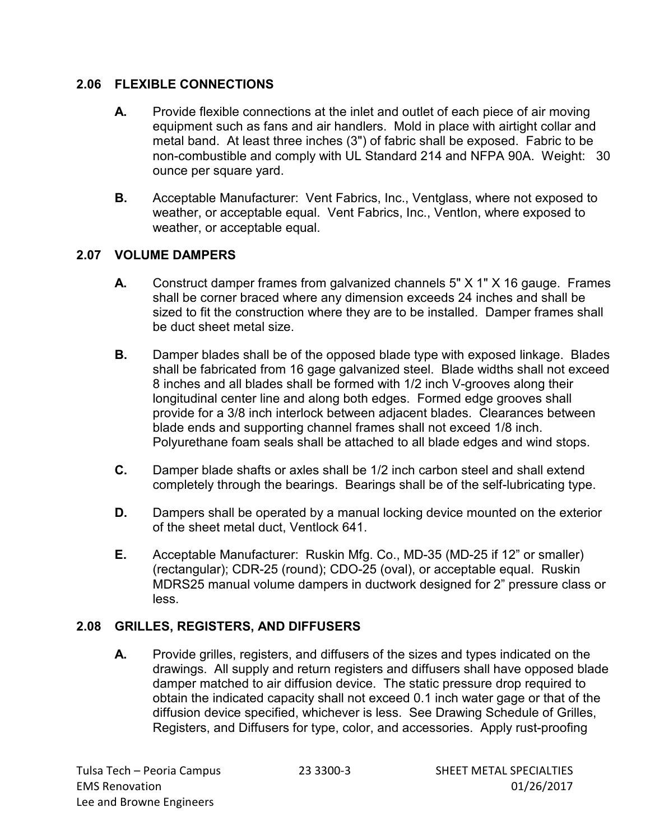### **2.06 FLEXIBLE CONNECTIONS**

- **A.** Provide flexible connections at the inlet and outlet of each piece of air moving equipment such as fans and air handlers. Mold in place with airtight collar and metal band. At least three inches (3") of fabric shall be exposed. Fabric to be non-combustible and comply with UL Standard 214 and NFPA 90A. Weight: 30 ounce per square yard.
- **B.** Acceptable Manufacturer: Vent Fabrics, Inc., Ventglass, where not exposed to weather, or acceptable equal. Vent Fabrics, Inc., Ventlon, where exposed to weather, or acceptable equal.

# **2.07 VOLUME DAMPERS**

- **A.** Construct damper frames from galvanized channels 5" X 1" X 16 gauge. Frames shall be corner braced where any dimension exceeds 24 inches and shall be sized to fit the construction where they are to be installed. Damper frames shall be duct sheet metal size.
- **B.** Damper blades shall be of the opposed blade type with exposed linkage. Blades shall be fabricated from 16 gage galvanized steel. Blade widths shall not exceed 8 inches and all blades shall be formed with 1/2 inch V-grooves along their longitudinal center line and along both edges. Formed edge grooves shall provide for a 3/8 inch interlock between adjacent blades. Clearances between blade ends and supporting channel frames shall not exceed 1/8 inch. Polyurethane foam seals shall be attached to all blade edges and wind stops.
- **C.** Damper blade shafts or axles shall be 1/2 inch carbon steel and shall extend completely through the bearings. Bearings shall be of the self-lubricating type.
- **D.** Dampers shall be operated by a manual locking device mounted on the exterior of the sheet metal duct, Ventlock 641.
- **E.** Acceptable Manufacturer: Ruskin Mfg. Co., MD-35 (MD-25 if 12" or smaller) (rectangular); CDR-25 (round); CDO-25 (oval), or acceptable equal. Ruskin MDRS25 manual volume dampers in ductwork designed for 2" pressure class or less.

# **2.08 GRILLES, REGISTERS, AND DIFFUSERS**

**A.** Provide grilles, registers, and diffusers of the sizes and types indicated on the drawings. All supply and return registers and diffusers shall have opposed blade damper matched to air diffusion device. The static pressure drop required to obtain the indicated capacity shall not exceed 0.1 inch water gage or that of the diffusion device specified, whichever is less. See Drawing Schedule of Grilles, Registers, and Diffusers for type, color, and accessories. Apply rust-proofing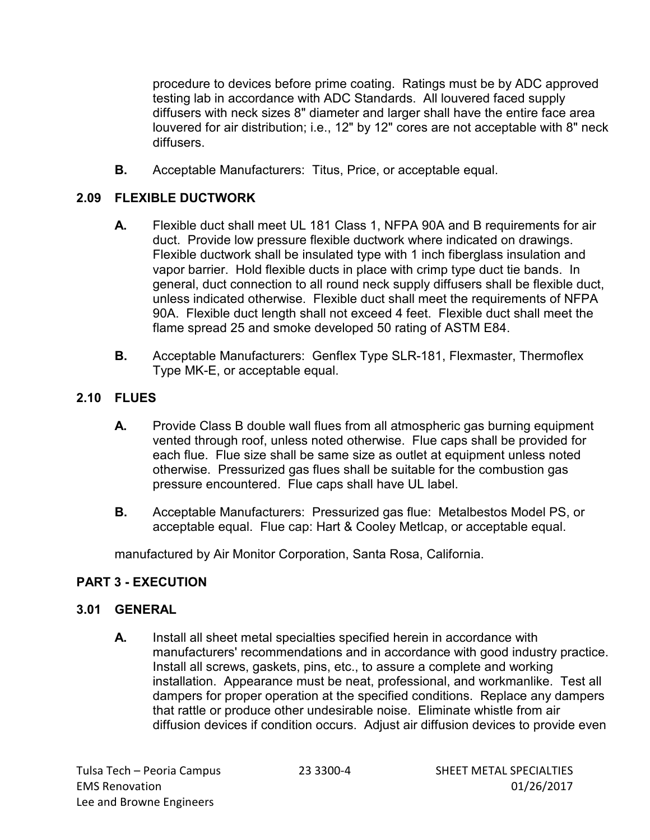procedure to devices before prime coating. Ratings must be by ADC approved testing lab in accordance with ADC Standards. All louvered faced supply diffusers with neck sizes 8" diameter and larger shall have the entire face area louvered for air distribution; i.e., 12" by 12" cores are not acceptable with 8" neck diffusers.

**B.** Acceptable Manufacturers: Titus, Price, or acceptable equal.

# **2.09 FLEXIBLE DUCTWORK**

- **A.** Flexible duct shall meet UL 181 Class 1, NFPA 90A and B requirements for air duct. Provide low pressure flexible ductwork where indicated on drawings. Flexible ductwork shall be insulated type with 1 inch fiberglass insulation and vapor barrier. Hold flexible ducts in place with crimp type duct tie bands. In general, duct connection to all round neck supply diffusers shall be flexible duct, unless indicated otherwise. Flexible duct shall meet the requirements of NFPA 90A. Flexible duct length shall not exceed 4 feet. Flexible duct shall meet the flame spread 25 and smoke developed 50 rating of ASTM E84.
- **B.** Acceptable Manufacturers: Genflex Type SLR-181, Flexmaster, Thermoflex Type MK-E, or acceptable equal.

# **2.10 FLUES**

- **A.** Provide Class B double wall flues from all atmospheric gas burning equipment vented through roof, unless noted otherwise. Flue caps shall be provided for each flue. Flue size shall be same size as outlet at equipment unless noted otherwise. Pressurized gas flues shall be suitable for the combustion gas pressure encountered. Flue caps shall have UL label.
- **B.** Acceptable Manufacturers: Pressurized gas flue: Metalbestos Model PS, or acceptable equal. Flue cap: Hart & Cooley Metlcap, or acceptable equal.

manufactured by Air Monitor Corporation, Santa Rosa, California.

### **PART 3 - EXECUTION**

### **3.01 GENERAL**

**A.** Install all sheet metal specialties specified herein in accordance with manufacturers' recommendations and in accordance with good industry practice. Install all screws, gaskets, pins, etc., to assure a complete and working installation. Appearance must be neat, professional, and workmanlike. Test all dampers for proper operation at the specified conditions. Replace any dampers that rattle or produce other undesirable noise. Eliminate whistle from air diffusion devices if condition occurs. Adjust air diffusion devices to provide even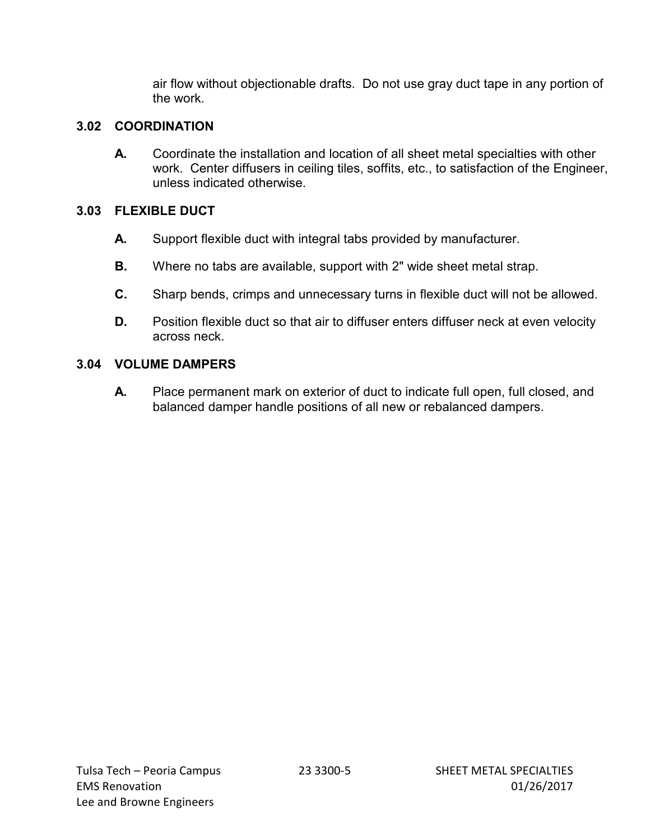air flow without objectionable drafts. Do not use gray duct tape in any portion of the work.

## **3.02 COORDINATION**

**A.** Coordinate the installation and location of all sheet metal specialties with other work. Center diffusers in ceiling tiles, soffits, etc., to satisfaction of the Engineer, unless indicated otherwise.

# **3.03 FLEXIBLE DUCT**

- **A.** Support flexible duct with integral tabs provided by manufacturer.
- **B.** Where no tabs are available, support with 2" wide sheet metal strap.
- **C.** Sharp bends, crimps and unnecessary turns in flexible duct will not be allowed.
- **D.** Position flexible duct so that air to diffuser enters diffuser neck at even velocity across neck.

# **3.04 VOLUME DAMPERS**

**A.** Place permanent mark on exterior of duct to indicate full open, full closed, and balanced damper handle positions of all new or rebalanced dampers.